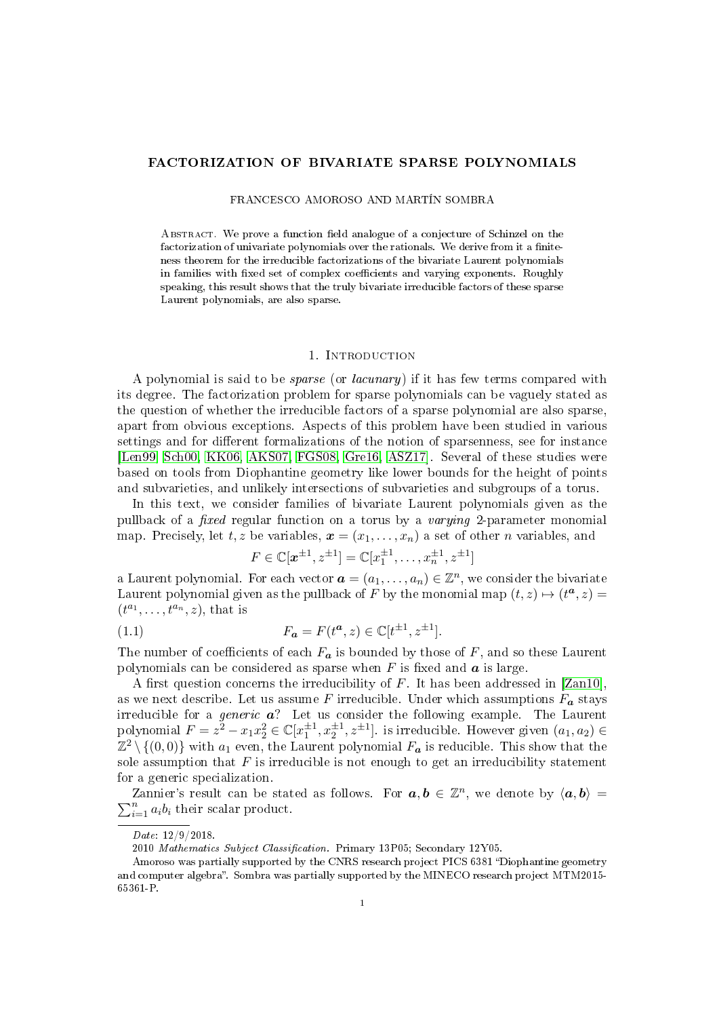# FACTORIZATION OF BIVARIATE SPARSE POLYNOMIALS

### FRANCESCO AMOROSO AND MARTÍN SOMBRA

ABSTRACT. We prove a function field analogue of a conjecture of Schinzel on the factorization of univariate polynomials over the rationals. We derive from it a finiteness theorem for the irreducible factorizations of the bivariate Laurent polynomials in families with fixed set of complex coefficients and varying exponents. Roughly speaking, this result shows that the truly bivariate irreducible factors of these sparse Laurent polynomials, are also sparse.

### 1. Introduction

A polynomial is said to be sparse (or lacunary) if it has few terms compared with its degree. The factorization problem for sparse polynomials can be vaguely stated as the question of whether the irreducible factors of a sparse polynomial are also sparse, apart from obvious exceptions. Aspects of this problem have been studied in various settings and for different formalizations of the notion of sparsenness, see for instance [\[Len99,](#page-15-0) [Sch00,](#page-16-0) [KK06,](#page-15-1) [AKS07,](#page-15-2) [FGS08,](#page-15-3) [Gre16,](#page-15-4) [ASZ17\]](#page-15-5). Several of these studies were based on tools from Diophantine geometry like lower bounds for the height of points and subvarieties, and unlikely intersections of subvarieties and subgroups of a torus.

In this text, we consider families of bivariate Laurent polynomials given as the pullback of a *fixed* regular function on a torus by a *varying* 2-parameter monomial map. Precisely, let  $t, z$  be variables,  $\boldsymbol{x} = (x_1, \ldots, x_n)$  a set of other *n* variables, and

<span id="page-0-0"></span>
$$
F \in \mathbb{C}[\mathbf{x}^{\pm 1}, z^{\pm 1}] = \mathbb{C}[x_1^{\pm 1}, \dots, x_n^{\pm 1}, z^{\pm 1}]
$$

a Laurent polynomial. For each vector  $\boldsymbol{a} = (a_1, \ldots, a_n) \in \mathbb{Z}^n$ , we consider the bivariate Laurent polynomial given as the pullback of F by the monomial map  $(t, z) \mapsto (t^a, z) =$  $(t^{a_1},\ldots,t^{a_n},z)$ , that is

(1.1) 
$$
F_{a} = F(t^{a}, z) \in \mathbb{C}[t^{\pm 1}, z^{\pm 1}].
$$

The number of coefficients of each  $F_a$  is bounded by those of F, and so these Laurent polynomials can be considered as sparse when  $F$  is fixed and  $\boldsymbol{a}$  is large.

A first question concerns the irreducibility of  $F$ . It has been addressed in [\[Zan10\]](#page-16-1). as we next describe. Let us assume F irreducible. Under which assumptions  $F_a$  stays irreducible for a *generic*  $a$ ? Let us consider the following example. The Laurent polynomial  $F = z^2 - x_1 x_2^2 \in \mathbb{C}[x_1^{\pm 1}, x_2^{\pm 1}, z^{\pm 1}]$ . is irreducible. However given  $(a_1, a_2) \in$  $\mathbb{Z}^2\setminus\{(0,0)\}$  with  $a_1$  even, the Laurent polynomial  $F_{\boldsymbol{a}}$  is reducible. This show that the sole assumption that  $F$  is irreducible is not enough to get an irreducibility statement for a generic specialization.

Zannier's result can be stated as follows. For  $a, b \in \mathbb{Z}^n$ , we denote by  $\langle a, b \rangle =$  $\sum_{i=1}^{n} a_i b_i$  their scalar product.

Date: 12/9/2018.

<sup>2010</sup> Mathematics Subject Classification. Primary 13P05; Secondary 12Y05.

Amoroso was partially supported by the CNRS research project PICS 6381 "Diophantine geometry and computer algebra". Sombra was partially supported by the MINECO research project MTM2015-65361-P.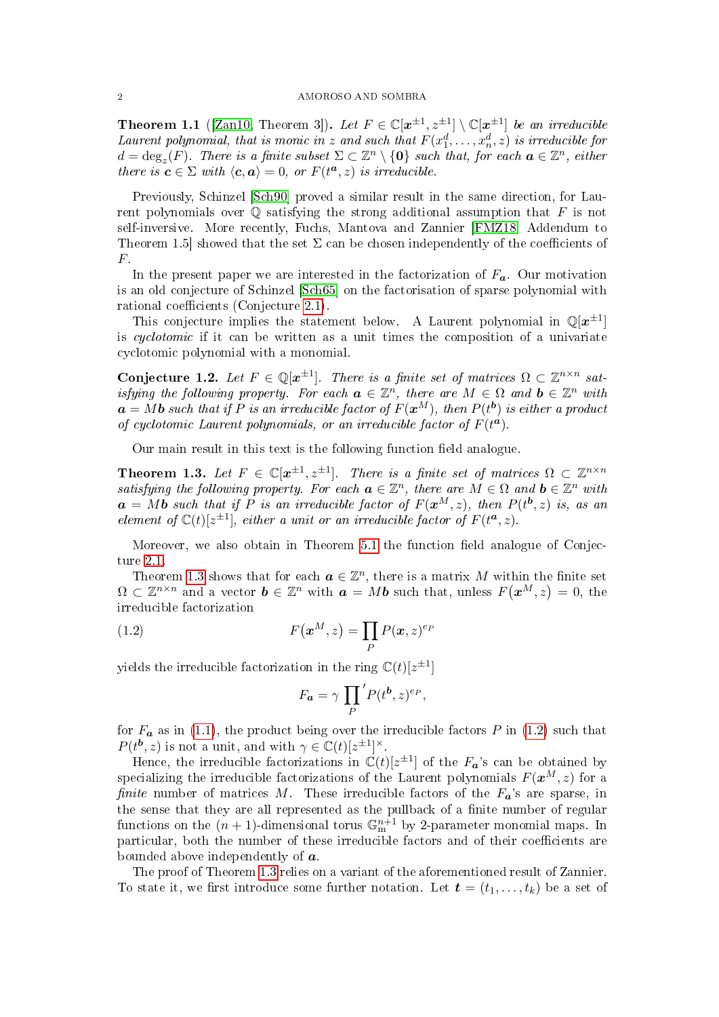**Theorem 1.1** ([\[Zan10,](#page-16-1) Theorem 3]). Let  $F \in \mathbb{C}[\mathbf{x}^{\pm 1}, \mathbf{z}^{\pm 1}] \setminus \mathbb{C}[\mathbf{x}^{\pm 1}]$  be an irreducible Laurent polynomial, that is monic in z and such that  $F(x_1^d, \ldots, x_n^d, z)$  is irreducible for  $d = \deg_z(F)$ . There is a finite subset  $\Sigma \subset \mathbb{Z}^n \setminus \{\mathbf{0}\}\$  such that, for each  $\mathbf{a} \in \mathbb{Z}^n$ , either there is  $\mathbf{c} \in \Sigma$  with  $\langle \mathbf{c}, \mathbf{a} \rangle = 0$ , or  $F(t^{\mathbf{a}}, z)$  is irreducible.

Previously, Schinzel [\[Sch90\]](#page-16-2) proved a similar result in the same direction, for Laurent polynomials over  $\mathbb Q$  satisfying the strong additional assumption that  $F$  is not self-inversive. More recently, Fuchs, Mantova and Zannier [\[FMZ18,](#page-15-6) Addendum to Theorem 1.5] showed that the set  $\Sigma$  can be chosen independently of the coefficients of F.

In the present paper we are interested in the factorization of  $F_a$ . Our motivation is an old conjecture of Schinzel [\[Sch65\]](#page-16-3) on the factorisation of sparse polynomial with rational coefficients (Conjecture [2.1\)](#page-3-0).

This conjecture implies the statement below. A Laurent polynomial in  $\mathbb{Q}[\boldsymbol{x}^{\pm 1}]$ is cyclotomic if it can be written as a unit times the composition of a univariate cyclotomic polynomial with a monomial.

Conjecture 1.2. Let  $F \in \mathbb{Q}[x^{\pm 1}]$ . There is a finite set of matrices  $\Omega \subset \mathbb{Z}^{n \times n}$  satisfying the following property. For each  $\boldsymbol{a} \in \mathbb{Z}^n$ , there are  $M \in \Omega$  and  $\boldsymbol{b} \in \mathbb{Z}^n$  with  $\bm{a} = M\bm{b}$  such that if P is an irreducible factor of  $F(\bm{x}^M)$ , then  $P(t^{\bm{b}})$  is either a product of cyclotomic Laurent polynomials, or an irreducible factor of  $F(t^a)$ .

Our main result in this text is the following function field analogue.

<span id="page-1-0"></span>Theorem 1.3. Let  $F \in \mathbb{C}[x^{\pm 1}, z^{\pm 1}]$ . There is a finite set of matrices  $\Omega \subset \mathbb{Z}^{n \times n}$ satisfying the following property. For each  $\boldsymbol{a} \in \mathbb{Z}^n$ , there are  $M \in \Omega$  and  $\boldsymbol{b} \in \mathbb{Z}^n$  with  $\boldsymbol{a} = M\boldsymbol{b}$  such that if P is an irreducible factor of  $F(\boldsymbol{x}^{M}, z)$ , then  $P(t^{\boldsymbol{b}}, z)$  is, as an element of  $\mathbb{C}(t)[z^{\pm 1}]$ , either a unit or an irreducible factor of  $F(t^a, z)$ .

Moreover, we also obtain in Theorem  $5.1$  the function field analogue of Conjecture [2.1.](#page-3-0)

Theorem [1.3](#page-1-0) shows that for each  $a \in \mathbb{Z}^n$ , there is a matrix M within the finite set  $\Omega \subset \mathbb{Z}^{n \times n}$  and a vector  $\boldsymbol{b} \in \mathbb{Z}^n$  with  $\boldsymbol{a} = M\boldsymbol{b}$  such that, unless  $F(\boldsymbol{x}^M, z) = 0$ , the irreducible factorization

(1.2) 
$$
F(\boldsymbol{x}^M, z) = \prod_P P(\boldsymbol{x}, z)^{e_P}
$$

yields the irreducible factorization in the ring  $\mathbb{C}(t)[z^{\pm 1}]$ 

<span id="page-1-1"></span>
$$
F_{a} = \gamma \prod_{P}^{\prime} P(t^{b}, z)^{e_{P}},
$$

for  $F_a$  as in [\(1.1\)](#page-0-0), the product being over the irreducible factors P in [\(1.2\)](#page-1-1) such that  $P(t^{\mathbf{b}}, z)$  is not a unit, and with  $\gamma \in \mathbb{C}(t)[z^{\pm 1}]^{\times}$ .

Hence, the irreducible factorizations in  $\mathbb{C}(t)[z^{\pm 1}]$  of the  $F_{\boldsymbol{a}}$ 's can be obtained by specializing the irreducible factorizations of the Laurent polynomials  $F(\boldsymbol{x}^{M}, z)$  for a finite number of matrices M. These irreducible factors of the  $F_a$ 's are sparse, in the sense that they are all represented as the pullback of a finite number of regular functions on the  $(n + 1)$ -dimensional torus  $\mathbb{G}_{\text{m}}^{n+1}$  by 2-parameter monomial maps. In particular, both the number of these irreducible factors and of their coefficients are bounded above independently of  $\boldsymbol{a}$ .

The proof of Theorem [1.3](#page-1-0) relies on a variant of the aforementioned result of Zannier. To state it, we first introduce some further notation. Let  $\boldsymbol{t} = (t_1, \ldots, t_k)$  be a set of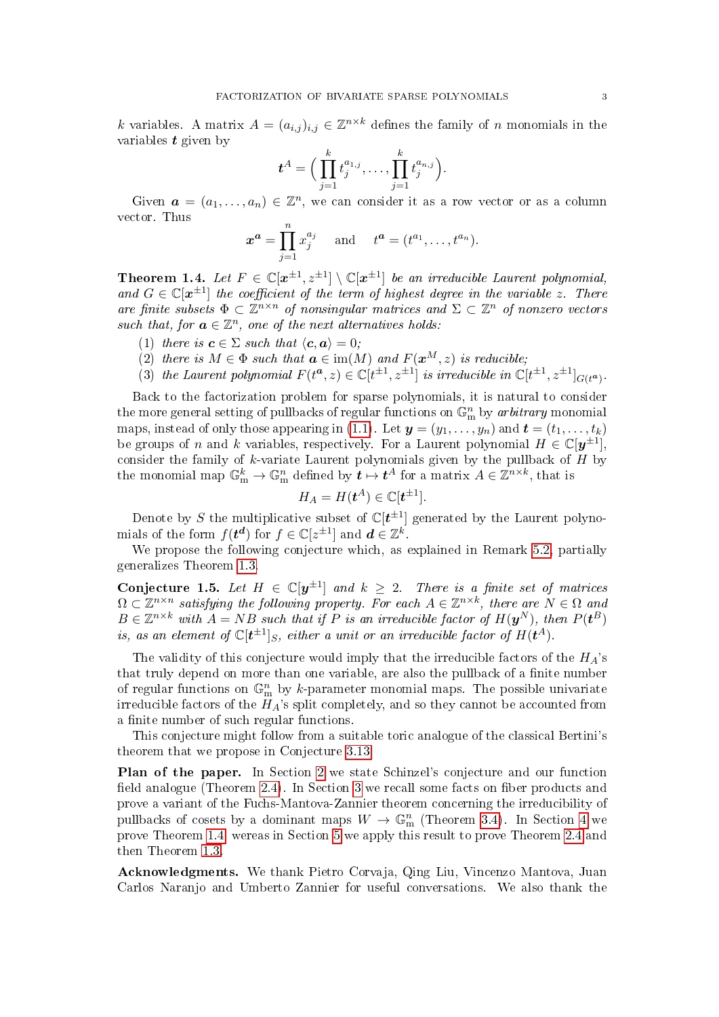k variables. A matrix  $A = (a_{i,j})_{i,j} \in \mathbb{Z}^{n \times k}$  defines the family of n monomials in the variables  $t$  given by

$$
\boldsymbol{t}^A = \Big( \prod_{j=1}^k t_j^{a_{1,j}}, \ldots, \prod_{j=1}^k t_j^{a_{n,j}} \Big).
$$

Given  $\mathbf{a} = (a_1, \ldots, a_n) \in \mathbb{Z}^n$ , we can consider it as a row vector or as a column vector. Thus

$$
x^a = \prod_{j=1}^n x_j^{a_j}
$$
 and  $t^a = (t^{a_1}, \dots, t^{a_n}).$ 

<span id="page-2-0"></span>**Theorem 1.4.** Let  $F \in \mathbb{C}[\mathbf{x}^{\pm 1}, \mathbf{z}^{\pm 1}] \setminus \mathbb{C}[\mathbf{x}^{\pm 1}]$  be an irreducible Laurent polynomial, and  $G \in \mathbb{C}[\mathbf{x}^{\pm 1}]$  the coefficient of the term of highest degree in the variable z. There are finite subsets  $\Phi \subset \mathbb{Z}^{n \times n}$  of nonsingular matrices and  $\Sigma \subset \mathbb{Z}^n$  of nonzero vectors such that, for  $\mathbf{a} \in \mathbb{Z}^n$ , one of the next alternatives holds:

- <span id="page-2-2"></span>(1) there is  $\mathbf{c} \in \Sigma$  such that  $\langle \mathbf{c}, \mathbf{a} \rangle = 0$ ;
- <span id="page-2-3"></span>(2) there is  $M \in \Phi$  such that  $a \in \text{im}(M)$  and  $F(\boldsymbol{x}^{M}, z)$  is reducible;
- <span id="page-2-4"></span>(3) the Laurent polynomial  $F(t^a, z) \in \mathbb{C}[t^{\pm 1}, z^{\pm 1}]$  is irreducible in  $\mathbb{C}[t^{\pm 1}, z^{\pm 1}]_{G(t^a)}$ .

Back to the factorization problem for sparse polynomials, it is natural to consider the more general setting of pullbacks of regular functions on  $\mathbb{G}_{\mathrm{m}}^n$  by arbitrary monomial maps, instead of only those appearing in [\(1.1\)](#page-0-0). Let  $y = (y_1, \ldots, y_n)$  and  $t = (t_1, \ldots, t_k)$ be groups of n and k variables, respectively. For a Laurent polynomial  $H \in \mathbb{C}[y^{\pm 1}]$ , consider the family of  $k$ -variate Laurent polynomials given by the pullback of  $H$  by the monomial map  $\mathbb{G}_{\text{m}}^k \to \mathbb{G}_{\text{m}}^n$  defined by  $t \mapsto t^A$  for a matrix  $A \in \mathbb{Z}^{n \times k}$ , that is

$$
H_A = H(t^A) \in \mathbb{C}[t^{\pm 1}].
$$

Denote by S the multiplicative subset of  $\mathbb{C}[t^{\pm 1}]$  generated by the Laurent polynomials of the form  $f(t^d)$  for  $f \in \mathbb{C}[z^{\pm 1}]$  and  $d \in \mathbb{Z}^k$ .

We propose the following conjecture which, as explained in Remark [5.2,](#page-15-7) partially generalizes Theorem [1.3.](#page-1-0)

<span id="page-2-1"></span>Conjecture 1.5. Let  $H \in \mathbb{C}[y^{\pm 1}]$  and  $k \geq 2$ . There is a finite set of matrices  $\Omega \subset \mathbb{Z}^{n \times n}$  satisfying the following property. For each  $A \in \mathbb{Z}^{n \times k}$ , there are  $N \in \Omega$  and  $B \in \mathbb{Z}^{n \times k}$  with  $A = NB$  such that if P is an irreducible factor of  $H(\bm{y}^N)$ , then  $P(\bm{t}^B)$ is, as an element of  $\mathbb C[\bm{t}^{\pm 1}]_S$ , either a unit or an irreducible factor of  $H(\bm{t}^A)$ .

The validity of this conjecture would imply that the irreducible factors of the  $H_A$ 's that truly depend on more than one variable, are also the pullback of a finite number of regular functions on  $\mathbb{G}_{m}^{n}$  by k-parameter monomial maps. The possible univariate irreducible factors of the  $H_A$ 's split completely, and so they cannot be accounted from a finite number of such regular functions.

This conjecture might follow from a suitable toric analogue of the classical Bertini's theorem that we propose in Conjecture [3.13.](#page-9-0)

Plan of the paper. In Section [2](#page-3-1) we state Schinzel's conjecture and our function field analogue (Theorem [2.4\)](#page-3-2). In Section [3](#page-4-0) we recall some facts on fiber products and prove a variant of the Fuchs-Mantova-Zannier theorem concerning the irreducibility of pullbacks of cosets by a dominant maps  $W \to \mathbb{G}_{m}^{n}$  (Theorem [3.4\)](#page-5-0). In Section [4](#page-9-1) we prove Theorem [1.4,](#page-2-0) wereas in Section [5](#page-13-1) we apply this result to prove Theorem [2.4](#page-3-2) and then Theorem [1.3.](#page-1-0)

Acknowledgments. We thank Pietro Corvaja, Qing Liu, Vincenzo Mantova, Juan Carlos Naranjo and Umberto Zannier for useful conversations. We also thank the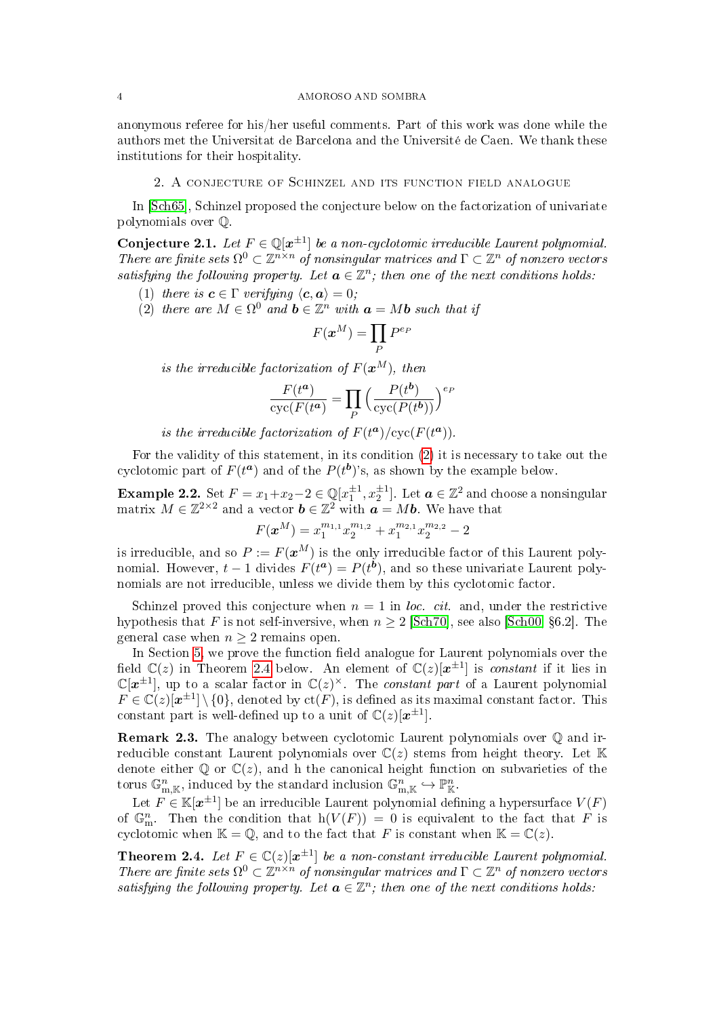#### 4 AMOROSO AND SOMBRA

anonymous referee for his/her useful comments. Part of this work was done while the authors met the Universitat de Barcelona and the Université de Caen. We thank these institutions for their hospitality.

## 2. A conjecture of Schinzel and its function field analogue

<span id="page-3-1"></span>In [\[Sch65\]](#page-16-3), Schinzel proposed the conjecture below on the factorization of univariate polynomials over Q.

<span id="page-3-0"></span>Conjecture 2.1. Let  $F \in \mathbb{Q}[x^{\pm 1}]$  be a non-cyclotomic irreducible Laurent polynomial. There are finite sets  $\Omega^0 \subset \mathbb{Z}^{n \times n}$  of nonsingular matrices and  $\Gamma \subset \mathbb{Z}^n$  of nonzero vectors satisfying the following property. Let  $\mathbf{a} \in \mathbb{Z}^n$ ; then one of the next conditions holds:

- (1) there is  $\mathbf{c} \in \Gamma$  verifying  $\langle \mathbf{c}, \mathbf{a} \rangle = 0$ ;
- <span id="page-3-3"></span>(2) there are  $M \in \Omega^0$  and  $\mathbf{b} \in \mathbb{Z}^n$  with  $\mathbf{a} = M\mathbf{b}$  such that if

$$
F(\boldsymbol{x}^M)=\prod_{P}P^{e_{P}}
$$

is the irreducible factorization of  $F(x^M)$ , then

$$
\frac{F(t^a)}{\operatorname{cyc}(F(t^a)} = \prod_P \left( \frac{P(t^b)}{\operatorname{cyc}(P(t^b))} \right)^{e_P}
$$

is the irreducible factorization of  $F(t^a)/cyc(F(t^a))$ .

For the validity of this statement, in its condition [\(2\)](#page-3-3) it is necessary to take out the cyclotomic part of  $F(t^a)$  and of the  $P(t^b)$ 's, as shown by the example below.

**Example 2.2.** Set  $F = x_1 + x_2 - 2 \in \mathbb{Q}[x_1^{\pm 1}, x_2^{\pm 1}]$ . Let  $\boldsymbol{a} \in \mathbb{Z}^2$  and choose a nonsingular matrix  $M \in \mathbb{Z}^{2 \times 2}$  and a vector  $\boldsymbol{b} \in \mathbb{Z}^2$  with  $\boldsymbol{a} = M \boldsymbol{b}$ . We have that

$$
F(\boldsymbol{x}^M)=x_1^{m_{1,1}}x_2^{m_{1,2}}+x_1^{m_{2,1}}x_2^{m_{2,2}}-2
$$

is irreducible, and so  $P := F(x^M)$  is the only irreducible factor of this Laurent polynomial. However,  $t-1$  divides  $F(t^a) = P(t^b)$ , and so these univariate Laurent polynomials are not irreducible, unless we divide them by this cyclotomic factor.

Schinzel proved this conjecture when  $n = 1$  in loc. cit. and, under the restrictive hypothesis that F is not self-inversive, when  $n \geq 2$  [\[Sch70\]](#page-16-4), see also [\[Sch00,](#page-16-0) §6.2]. The general case when  $n \geq 2$  remains open.

In Section [5,](#page-13-1) we prove the function field analogue for Laurent polynomials over the field  $\mathbb{C}(z)$  in Theorem [2.4](#page-3-2) below. An element of  $\mathbb{C}(z)[x^{\pm 1}]$  is *constant* if it lies in  $\mathbb{C}[\boldsymbol{x}^{\pm 1}]$ , up to a scalar factor in  $\mathbb{C}(z)^{\times}$ . The *constant part* of a Laurent polynomial  $F \in \mathbb{C}(z)[x^{\pm 1}] \setminus \{0\}$ , denoted by  $ct(F)$ , is defined as its maximal constant factor. This constant part is well-defined up to a unit of  $\mathbb{C}(z)[x^{\pm 1}]$ .

Remark 2.3. The analogy between cyclotomic Laurent polynomials over Q and irreducible constant Laurent polynomials over  $\mathbb{C}(z)$  stems from height theory. Let K denote either  $\mathbb{Q}$  or  $\mathbb{C}(z)$ , and h the canonical height function on subvarieties of the torus  $\mathbb{G}_{m,\mathbb{K}}^n$ , induced by the standard inclusion  $\mathbb{G}_{m,\mathbb{K}}^n \hookrightarrow \mathbb{P}_{\mathbb{K}}^n$ .

Let  $F \in \mathbb{K}[\boldsymbol{x}^{\pm 1}]$  be an irreducible Laurent polynomial defining a hypersurface  $V(F)$ of  $\mathbb{G}_{\text{m}}^n$ . Then the condition that  $h(V(F)) = 0$  is equivalent to the fact that F is cyclotomic when  $\mathbb{K} = \mathbb{Q}$ , and to the fact that F is constant when  $\mathbb{K} = \mathbb{C}(z)$ .

<span id="page-3-2"></span>**Theorem 2.4.** Let  $F \in \mathbb{C}(z)[x^{\pm 1}]$  be a non-constant irreducible Laurent polynomial. There are finite sets  $\Omega^0 \subset \mathbb{Z}^{n \times n}$  of nonsingular matrices and  $\Gamma \subset \mathbb{Z}^n$  of nonzero vectors satisfying the following property. Let  $\mathbf{a} \in \mathbb{Z}^n$ ; then one of the next conditions holds: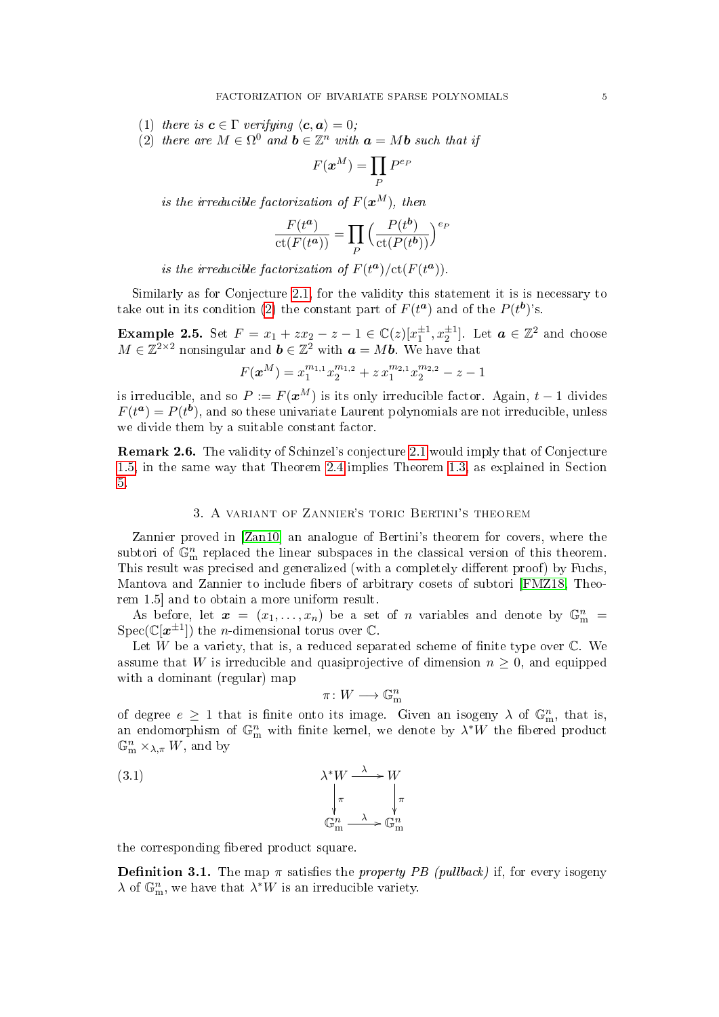(1) there is  $\mathbf{c} \in \Gamma$  verifying  $\langle \mathbf{c}, \mathbf{a} \rangle = 0$ ;

<span id="page-4-1"></span>(2) there are  $M \in \Omega^0$  and  $\mathbf{b} \in \mathbb{Z}^n$  with  $\mathbf{a} = M\mathbf{b}$  such that if

$$
F(\boldsymbol{x}^M)=\prod_P P^{e_P}
$$

is the irreducible factorization of  $F(\boldsymbol{x}^M)$ , then

$$
\frac{F(t^a)}{\text{ct}(F(t^a))} = \prod_P \left( \frac{P(t^b)}{\text{ct}(P(t^b))} \right)^{e_F}
$$

is the irreducible factorization of  $F(t^a)/\text{ct}(F(t^a))$ .

Similarly as for Conjecture [2.1,](#page-3-0) for the validity this statement it is is necessary to take out in its condition [\(2\)](#page-4-1) the constant part of  $F(t^a)$  and of the  $P(t^b)$ 's.

**Example 2.5.** Set  $F = x_1 + zx_2 - z - 1 \in \mathbb{C}(z)[x_1^{\pm 1}, x_2^{\pm 1}]$ . Let  $\boldsymbol{a} \in \mathbb{Z}^2$  and choose  $M \in \mathbb{Z}^{2 \times 2}$  nonsingular and  $\mathbf{b} \in \mathbb{Z}^2$  with  $\mathbf{a} = M\mathbf{b}$ . We have that

$$
F(\boldsymbol{x}^{M}) = x_1^{m_{1,1}} x_2^{m_{1,2}} + z x_1^{m_{2,1}} x_2^{m_{2,2}} - z - 1
$$

is irreducible, and so  $P := F(\boldsymbol{x}^M)$  is its only irreducible factor. Again,  $t-1$  divides  $F(t^a) = P(t^b)$ , and so these univariate Laurent polynomials are not irreducible, unless we divide them by a suitable constant factor.

Remark 2.6. The validity of Schinzel's conjecture [2.1](#page-3-0) would imply that of Conjecture [1.5,](#page-2-1) in the same way that Theorem [2.4](#page-3-2) implies Theorem [1.3,](#page-1-0) as explained in Section [5.](#page-13-1)

# 3. A variant of Zannier's toric Bertini's theorem

<span id="page-4-0"></span>Zannier proved in [\[Zan10\]](#page-16-1) an analogue of Bertini's theorem for covers, where the subtori of  $\mathbb{G}_{\text{m}}^n$  replaced the linear subspaces in the classical version of this theorem. This result was precised and generalized (with a completely different proof) by Fuchs, Mantova and Zannier to include fibers of arbitrary cosets of subtori [\[FMZ18,](#page-15-6) Theorem 1.5] and to obtain a more uniform result.

As before, let  $\boldsymbol{x} = (x_1, \ldots, x_n)$  be a set of n variables and denote by  $\mathbb{G}_{m}^{n}$  $Spec(\mathbb{C}[\boldsymbol{x}^{\pm 1}])$  the *n*-dimensional torus over  $\mathbb{C}$ .

Let  $W$  be a variety, that is, a reduced separated scheme of finite type over  $\mathbb{C}$ . We assume that W is irreducible and quasiprojective of dimension  $n \geq 0$ , and equipped with a dominant (regular) map

<span id="page-4-2"></span>
$$
\pi\colon W\longrightarrow \mathbb{G}_{\mathrm{m}}^n
$$

of degree  $e \geq 1$  that is finite onto its image. Given an isogeny  $\lambda$  of  $\mathbb{G}_{m}^{n}$ , that is, an endomorphism of  $\mathbb{G}_{m}^{n}$  with finite kernel, we denote by  $\lambda^*W$  the fibered product  $\mathbb{G}_{\mathrm{m}}^n\times_{\lambda,\pi}W$ , and by

(3.1) 
$$
\lambda^* W \xrightarrow{\lambda} W
$$

$$
\downarrow_{\pi} \qquad \downarrow_{\pi}
$$

$$
\mathbb{G}_m^n \xrightarrow{\lambda} \mathbb{G}_m^n
$$

the corresponding fibered product square.

**Definition 3.1.** The map  $\pi$  satisfies the *property PB (pullback)* if, for every isogeny  $\lambda$  of  $\mathbb{G}_{\text{m}}^n$ , we have that  $\lambda^*W$  is an irreducible variety.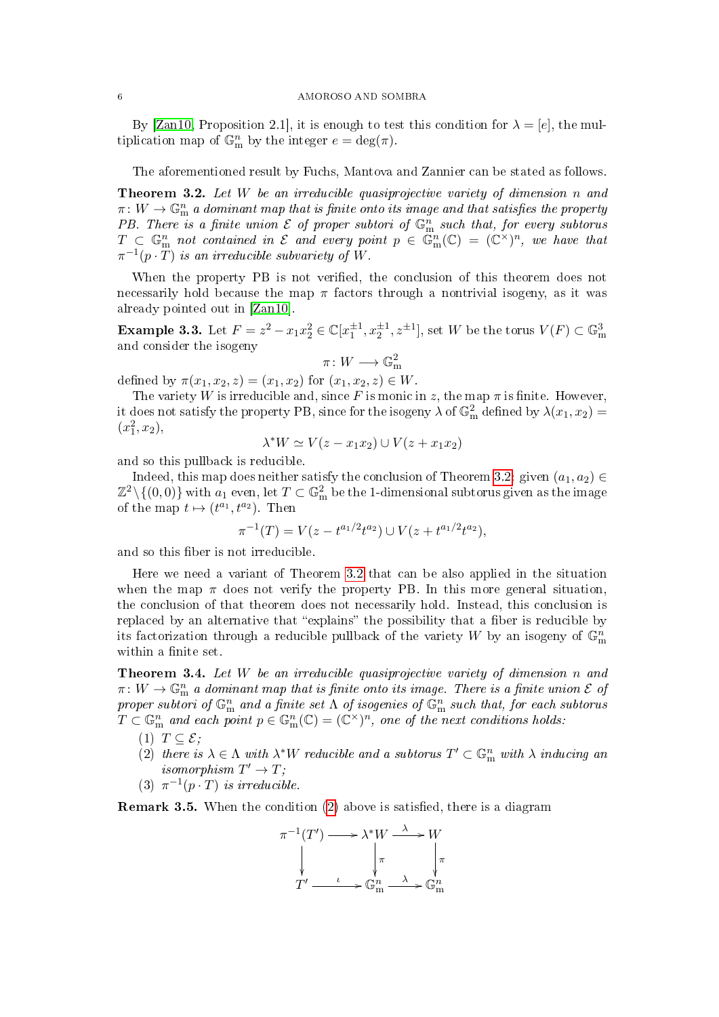By [\[Zan10,](#page-16-1) Proposition 2.1], it is enough to test this condition for  $\lambda = [e]$ , the multiplication map of  $\mathbb{G}_{m}^{n}$  by the integer  $e = \deg(\pi)$ .

The aforementioned result by Fuchs, Mantova and Zannier can be stated as follows.

<span id="page-5-1"></span>**Theorem 3.2.** Let  $W$  be an irreducible quasiprojective variety of dimension n and  $\pi\colon W\to \mathbb{G}_{\mathrm{m}}^n$  a dominant map that is finite onto its image and that satisfies the property PB. There is a finite union  $\mathcal E$  of proper subtori of  $\mathbb G_{\mathrm m}^n$  such that, for every subtorus  $T \subset \mathbb{G}_{\mathrm{m}}^n$  not contained in  $\mathcal E$  and every point  $p \in \mathbb{G}_{\mathrm{m}}^n(\mathbb{C}) = (\mathbb{C}^\times)^n$ , we have that  $\pi^{-1}(p\cdot \overline{T})$  is an irreducible subvariety of W.

When the property PB is not verified, the conclusion of this theorem does not necessarily hold because the map  $\pi$  factors through a nontrivial isogeny, as it was already pointed out in [\[Zan10\]](#page-16-1).

<span id="page-5-2"></span>**Example 3.3.** Let  $F = z^2 - x_1 x_2^2 \in \mathbb{C}[x_1^{\pm 1}, x_2^{\pm 1}, z^{\pm 1}]$ , set W be the torus  $V(F) \subset \mathbb{G}_{\text{m}}^3$ and consider the isogeny

$$
\pi\colon W\longrightarrow \mathbb{G}_{\mathrm{m}}^2
$$

defined by  $\pi(x_1, x_2, z) = (x_1, x_2)$  for  $(x_1, x_2, z) \in W$ .

The variety W is irreducible and, since F is monic in z, the map  $\pi$  is finite. However, it does not satisfy the property PB, since for the isogeny  $\lambda$  of  $\mathbb{G}_{\text{m}}^2$  defined by  $\lambda(x_1, x_2) =$  $(x_1^2, x_2),$ 

$$
\lambda^* W \simeq V(z - x_1 x_2) \cup V(z + x_1 x_2)
$$

and so this pullback is reducible.

Indeed, this map does neither satisfy the conclusion of Theorem [3.2:](#page-5-1) given  $(a_1, a_2) \in$  $\mathbb{Z}^2\backslash\{(0,0)\}$  with  $a_1$  even, let  $T\subset\mathbb{G}_{\mathrm{m}}^2$  be the 1-dimensional subtorus given as the image of the map  $t \mapsto (t^{a_1}, t^{a_2})$ . Then

$$
\pi^{-1}(T) = V(z - t^{a_1/2}t^{a_2}) \cup V(z + t^{a_1/2}t^{a_2}),
$$

and so this fiber is not irreducible.

Here we need a variant of Theorem [3.2](#page-5-1) that can be also applied in the situation when the map  $\pi$  does not verify the property PB. In this more general situation, the conclusion of that theorem does not necessarily hold. Instead, this conclusion is replaced by an alternative that "explains" the possibility that a fiber is reducible by its factorization through a reducible pullback of the variety W by an isogeny of  $\mathbb{G}_{\text{m}}^n$ within a finite set.

<span id="page-5-0"></span>Theorem 3.4. Let W be an irreducible quasiprojective variety of dimension n and  $\pi\colon W\to \mathbb{G}_{\mathrm{m}}^n$  a dominant map that is finite onto its image. There is a finite union  ${\mathcal E}$  of proper subtori of  $\mathbb{G}_{\mathrm{m}}^n$  and a finite set  $\Lambda$  of isogenies of  $\tilde{\mathbb{G}}_{\mathrm{m}}^n$  such that, for each subtorus  $T \subset \mathbb{G}_{\mathrm{m}}^n$  and each point  $p \in \mathbb{G}_{\mathrm{m}}^n(\mathbb{C}) = (\mathbb{C}^\times)^n$ , one of the next conditions holds:

- (1)  $T \subset \mathcal{E}$ ;
- (2) there is  $\lambda \in \Lambda$  with  $\lambda^*W$  reducible and a subtorus  $T' \subset \mathbb{G}_{\mathrm{m}}^n$  with  $\lambda$  inducing an isomorphism  $T' \to T$ ;
- (3)  $\pi^{-1}(p \cdot T)$  is irreducible.

**Remark 3.5.** When the condition [\(2\)](#page-9-2) above is satisfied, there is a diagram

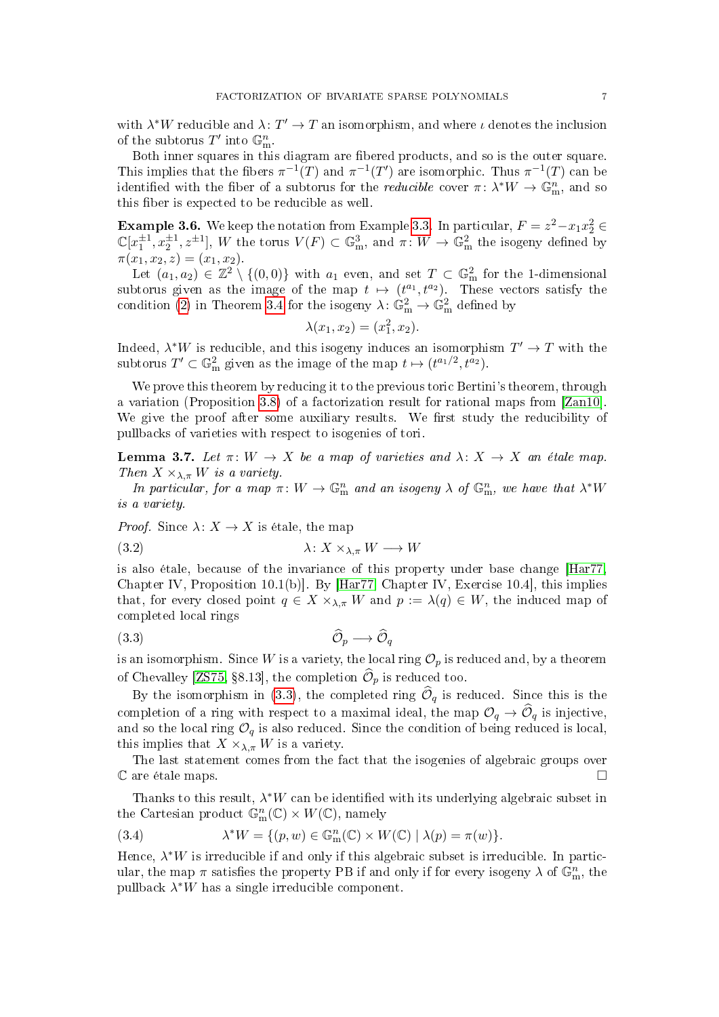with  $\lambda^*W$  reducible and  $\lambda: T' \to T$  an isomorphism, and where  $\iota$  denotes the inclusion of the subtorus  $T'$  into  $\mathbb{G}_{m}^{n}$ .

Both inner squares in this diagram are fibered products, and so is the outer square. This implies that the fibers  $\pi^{-1}(T)$  and  $\pi^{-1}(T')$  are isomorphic. Thus  $\pi^{-1}(T)$  can be identified with the fiber of a subtorus for the *reducible* cover  $\pi \colon \lambda^* W \to \mathbb{G}_m^n$ , and so this fiber is expected to be reducible as well.

**Example 3.6.** We keep the notation from Example [3.3.](#page-5-2) In particular,  $F = z^2 - x_1x_2^2 \in$  $\mathbb{C}[x_1^{\pm 1}, x_2^{\pm 1}, z^{\pm 1}]$ , W the torus  $V(F) \subset \mathbb{G}_{\text{m}}^3$ , and  $\pi \colon W \to \mathbb{G}_{\text{m}}^2$  the isogeny defined by  $\pi(x_1, x_2, z) = (x_1, x_2).$ 

Let  $(a_1, a_2) \in \mathbb{Z}^2 \setminus \{(0, 0)\}$  with  $a_1$  even, and set  $T \subset \mathbb{G}_{\text{m}}^2$  for the 1-dimensional subtorus given as the image of the map  $t \mapsto (t^{a_1}, t^{a_2})$ . These vectors satisfy the condition [\(2\)](#page-9-2) in Theorem [3.4](#page-5-0) for the isogeny  $\lambda \colon \mathbb{G}_{m}^{2} \to \mathbb{G}_{m}^{2}$  defined by

$$
\lambda(x_1, x_2) = (x_1^2, x_2).
$$

Indeed,  $\lambda^*W$  is reducible, and this isogeny induces an isomorphism  $T' \to T$  with the subtorus  $T' \subset \mathbb{G}_{\text{m}}^2$  given as the image of the map  $t \mapsto (t^{a_1/2}, t^{a_2})$ .

We prove this theorem by reducing it to the previous toric Bertini's theorem, through a variation (Proposition [3.8\)](#page-7-0) of a factorization result for rational maps from [\[Zan10\]](#page-16-1). We give the proof after some auxiliary results. We first study the reducibility of pullbacks of varieties with respect to isogenies of tori.

<span id="page-6-3"></span>**Lemma 3.7.** Let  $\pi: W \to X$  be a map of varieties and  $\lambda: X \to X$  an étale map. Then  $X \times_{\lambda,\pi} W$  is a variety.

In particular, for a map  $\pi: W \to \mathbb{G}_{\mathbf{m}}^n$  and an isogeny  $\lambda$  of  $\mathbb{G}_{\mathbf{m}}^n$ , we have that  $\lambda^*W$ is a variety.

*Proof.* Since  $\lambda: X \to X$  is étale, the map

<span id="page-6-2"></span>(3.2) λ: X ×λ,π W −→ W

is also étale, because of the invariance of this property under base change [\[Har77,](#page-15-8) Chapter IV, Proposition 10.1(b)]. By [\[Har77,](#page-15-8) Chapter IV, Exercise 10.4], this implies that, for every closed point  $q \in X \times_{\lambda,\pi} W$  and  $p := \lambda(q) \in W$ , the induced map of completed local rings

<span id="page-6-0"></span>
$$
(3.3) \qquad \qquad \widehat{\mathcal{O}}_p \longrightarrow \widehat{\mathcal{O}}_q
$$

is an isomorphism. Since W is a variety, the local ring  $\mathcal{O}_p$  is reduced and, by a theorem of Chevalley [\[ZS75,](#page-16-5) §8.13], the completion  $\mathcal{O}_p$  is reduced too.

By the isomorphism in [\(3.3\)](#page-6-0), the completed ring  $\mathcal{O}_q$  is reduced. Since this is the completion of a ring with respect to a maximal ideal, the map  $\mathcal{O}_q \to \widehat{\mathcal{O}}_q$  is injective, and so the local ring  $\mathcal{O}_q$  is also reduced. Since the condition of being reduced is local, this implies that  $X \times_{\lambda,\pi} W$  is a variety.

The last statement comes from the fact that the isogenies of algebraic groups over  $\mathbb C$  are étale maps.

Thanks to this result,  $\lambda^*W$  can be identified with its underlying algebraic subset in the Cartesian product  $\mathbb{G}_{m}^{n}(\mathbb{C}) \times W(\mathbb{C})$ , namely

<span id="page-6-1"></span>(3.4) 
$$
\lambda^* W = \{ (p, w) \in \mathbb{G}_{\mathbf{m}}^n(\mathbb{C}) \times W(\mathbb{C}) \mid \lambda(p) = \pi(w) \}.
$$

Hence,  $\lambda^*W$  is irreducible if and only if this algebraic subset is irreducible. In particular, the map  $\pi$  satisfies the property PB if and only if for every isogeny  $\lambda$  of  $\mathbb{G}_{\text{m}}^n$ , the pullback  $\lambda^*W$  has a single irreducible component.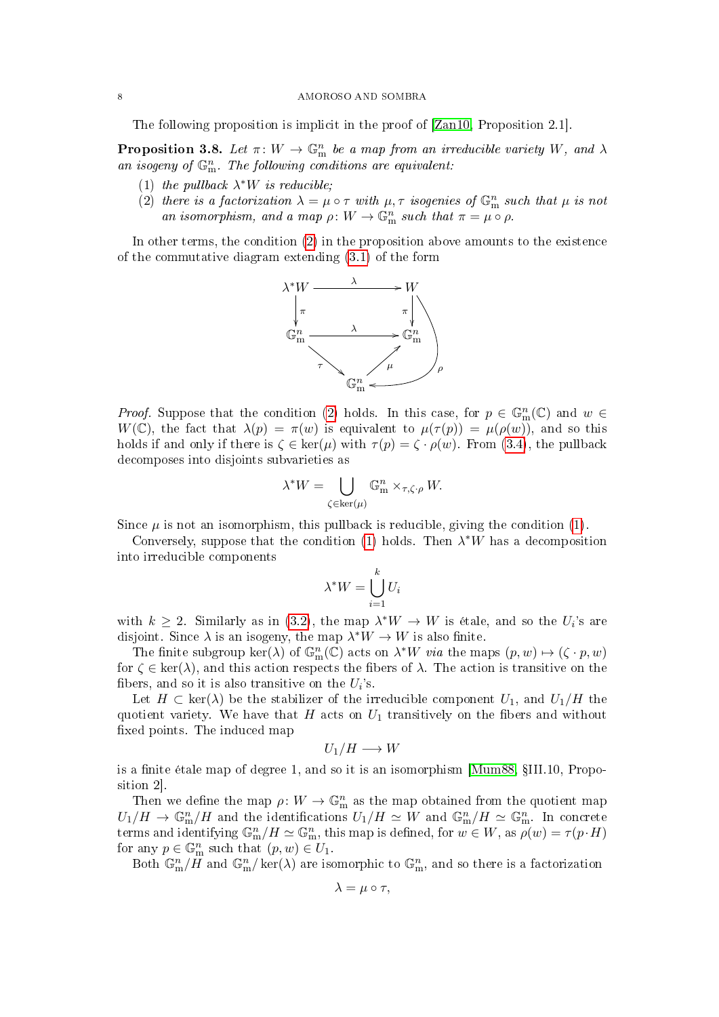The following proposition is implicit in the proof of [\[Zan10,](#page-16-1) Proposition 2.1].

<span id="page-7-0"></span>**Proposition 3.8.** Let  $\pi: W \to \mathbb{G}_{m}^{n}$  be a map from an irreducible variety W, and  $\lambda$ an isogeny of  $\mathbb{G}_{\mathrm{m}}^n$ . The following conditions are equivalent:

- <span id="page-7-2"></span>(1) the pullback  $\lambda^*W$  is reducible;
- <span id="page-7-1"></span>(2) there is a factorization  $\lambda = \mu \circ \tau$  with  $\mu, \tau$  isogenies of  $\mathbb{G}_{\text{m}}^n$  such that  $\mu$  is not an isomorphism, and a map  $\rho: W \to \mathbb{G}_{m}^{n}$  such that  $\pi = \mu \circ \rho$ .

In other terms, the condition [\(2\)](#page-7-1) in the proposition above amounts to the existence of the commutative diagram extending [\(3.1\)](#page-4-2) of the form



*Proof.* Suppose that the condition [\(2\)](#page-7-1) holds. In this case, for  $p \in \mathbb{G}_{m}^{n}(\mathbb{C})$  and  $w \in$  $W(\mathbb{C})$ , the fact that  $\lambda(p) = \pi(w)$  is equivalent to  $\mu(\tau(p)) = \mu(\rho(w))$ , and so this holds if and only if there is  $\zeta \in \ker(\mu)$  with  $\tau(p) = \zeta \cdot \rho(w)$ . From [\(3.4\)](#page-6-1), the pullback decomposes into disjoints subvarieties as

$$
\lambda^* W = \bigcup_{\zeta \in \ker(\mu)} \mathbb{G}_m^n \times_{\tau, \zeta \cdot \rho} W.
$$

Since  $\mu$  is not an isomorphism, this pullback is reducible, giving the condition [\(1\)](#page-7-2).

Conversely, suppose that the condition [\(1\)](#page-7-2) holds. Then  $\lambda^*W$  has a decomposition into irreducible components

$$
\lambda^* W = \bigcup_{i=1}^k U_i
$$

with  $k \geq 2$ . Similarly as in [\(3.2\)](#page-6-2), the map  $\lambda^* W \to W$  is étale, and so the  $U_i$ 's are disjoint. Since  $\lambda$  is an isogeny, the map  $\lambda^*W \to W$  is also finite.

The finite subgroup  $\ker(\lambda)$  of  $\mathbb{G}_{m}^{n}(\mathbb{C})$  acts on  $\lambda^*W$  via the maps  $(p, w) \mapsto (\zeta \cdot p, w)$ for  $\zeta \in \text{ker}(\lambda)$ , and this action respects the fibers of  $\lambda$ . The action is transitive on the fibers, and so it is also transitive on the  $U_i$ 's.

Let  $H \subset \text{ker}(\lambda)$  be the stabilizer of the irreducible component  $U_1$ , and  $U_1/H$  the quotient variety. We have that H acts on  $U_1$  transitively on the fibers and without xed points. The induced map

$$
U_1/H\longrightarrow W
$$

is a finite étale map of degree 1, and so it is an isomorphism  $[Mum88, \S III.10, Propo [Mum88, \S III.10, Propo$ sition 2].

Then we define the map  $\rho: W \to \mathbb{G}_{m}^{n}$  as the map obtained from the quotient map  $U_1/H \to \mathbb{G}_m^n/H$  and the identifications  $U_1/H \simeq W$  and  $\mathbb{G}_m^n/H \simeq \mathbb{G}_m^n$ . In concrete terms and identifying  $\mathbb{G}_{\text{m}}^n/H \simeq \mathbb{G}_{\text{m}}^n$ , this map is defined, for  $w \in W$ , as  $\rho(w) = \tau(p \cdot H)$ for any  $p \in \mathbb{G}_{m}^{n}$  such that  $(p, w) \in U_1$ .

Both  $\mathbb{G}_{\text{m}}^n/\mathbb{H}$  and  $\mathbb{G}_{\text{m}}^n/\ker(\lambda)$  are isomorphic to  $\mathbb{G}_{\text{m}}^n$ , and so there is a factorization

$$
\lambda = \mu \circ \tau,
$$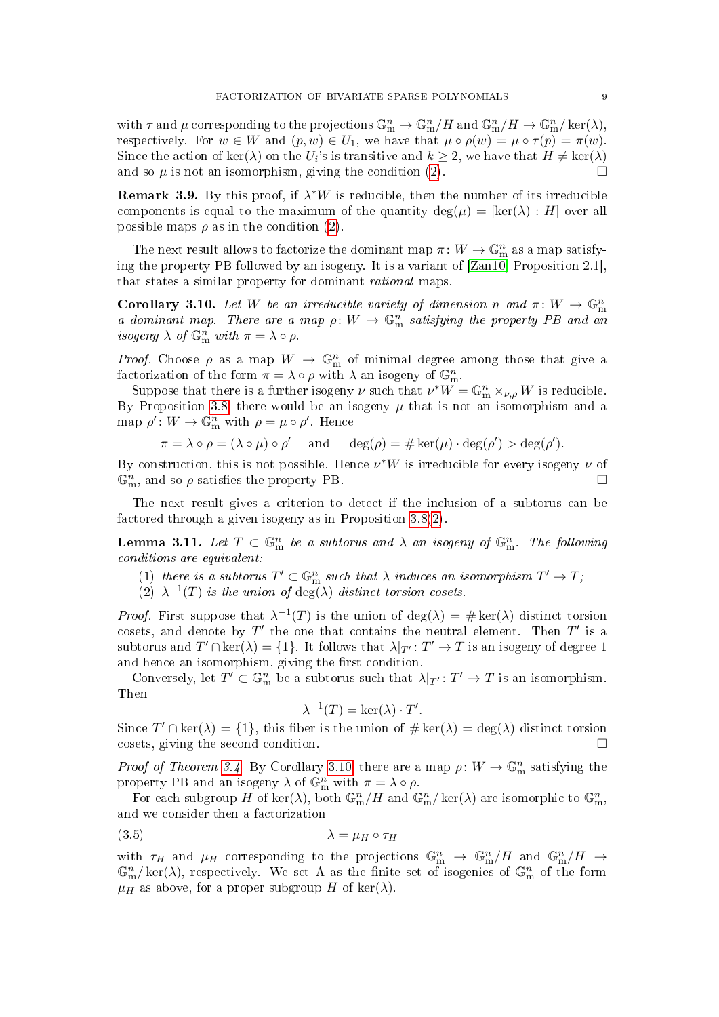with  $\tau$  and  $\mu$  corresponding to the projections  $\mathbb{G}_{\text{m}}^n \to \mathbb{G}_{\text{m}}^n/H$  and  $\mathbb{G}_{\text{m}}^n/H \to \mathbb{G}_{\text{m}}^n/\text{ker}(\lambda)$ , respectively. For  $w \in W$  and  $(p, w) \in U_1$ , we have that  $\mu \circ \rho(w) = \mu \circ \tau(p) = \pi(w)$ . Since the action of  $\ker(\lambda)$  on the  $U_i$ 's is transitive and  $k \geq 2$ , we have that  $H \neq \ker(\lambda)$ and so  $\mu$  is not an isomorphism, giving the condition [\(2\)](#page-7-1).

**Remark 3.9.** By this proof, if  $\lambda^*W$  is reducible, then the number of its irreducible components is equal to the maximum of the quantity deg( $\mu$ ) = [ker( $\lambda$ ) : H] over all possible maps  $\rho$  as in the condition [\(2\)](#page-7-1).

The next result allows to factorize the dominant map  $\pi \colon W \to \mathbb{G}_{\mathrm{m}}^n$  as a map satisfying the property PB followed by an isogeny. It is a variant of [\[Zan10,](#page-16-1) Proposition 2.1], that states a similar property for dominant rational maps.

<span id="page-8-0"></span>**Corollary 3.10.** Let W be an irreducible variety of dimension n and  $\pi: W \to \mathbb{G}_{m}^{n}$ a dominant map. There are a map  $\rho: W \to \mathbb{G}_{m}^{n}$  satisfying the property PB and an isogeny  $\lambda$  of  $\mathbb{G}_{m}^{n}$  with  $\pi = \lambda \circ \rho$ .

*Proof.* Choose  $\rho$  as a map  $W \to \mathbb{G}_{m}^{n}$  of minimal degree among those that give a factorization of the form  $\pi = \lambda \circ \rho$  with  $\lambda$  an isogeny of  $\mathbb{G}_{m}^{n}$ .

Suppose that there is a further isogeny  $\nu$  such that  $\nu^*W = \mathbb{G}_{m}^n \times_{\nu,\rho} W$  is reducible. By Proposition [3.8,](#page-7-0) there would be an isogeny  $\mu$  that is not an isomorphism and a map  $\rho' : W \to \mathbb{G}_{\mathbf{m}}^n$  with  $\rho = \mu \circ \rho'$ . Hence

$$
\pi = \lambda \circ \rho = (\lambda \circ \mu) \circ \rho'
$$
 and  $\deg(\rho) = \# \ker(\mu) \cdot \deg(\rho') > \deg(\rho').$ 

By construction, this is not possible. Hence  $\nu^*W$  is irreducible for every isogeny  $\nu$  of  $\mathbb{G}_{\text{m}}^n$ , and so  $\rho$  satisfies the property PB.

The next result gives a criterion to detect if the inclusion of a subtorus can be factored through a given isogeny as in Proposition [3.8](#page-7-0)[\(2\)](#page-7-1).

<span id="page-8-2"></span>**Lemma 3.11.** Let  $T \subset \mathbb{G}_{\text{m}}^n$  be a subtorus and  $\lambda$  an isogeny of  $\mathbb{G}_{\text{m}}^n$ . The following conditions are equivalent:

- (1) there is a subtorus  $T' \subset \mathbb{G}_{m}^n$  such that  $\lambda$  induces an isomorphism  $T' \to T$ ;
- (2)  $\lambda^{-1}(T)$  is the union of  $\deg(\lambda)$  distinct torsion cosets.

*Proof.* First suppose that  $\lambda^{-1}(T)$  is the union of  $\deg(\lambda) = \# \ker(\lambda)$  distinct torsion cosets, and denote by  $T'$  the one that contains the neutral element. Then  $T'$  is a subtorus and  $T' \cap \ker(\lambda) = \{1\}$ . It follows that  $\lambda|_{T'} : T' \to T$  is an isogeny of degree 1 and hence an isomorphism, giving the first condition.

Conversely, let  $T' \subset \mathbb{G}_{m}^{n}$  be a subtorus such that  $\lambda|_{T'} : T' \to T$  is an isomorphism. Then

<span id="page-8-1"></span>
$$
\lambda^{-1}(T) = \ker(\lambda) \cdot T'.
$$

Since  $T' \cap \text{ker}(\lambda) = \{1\}$ , this fiber is the union of  $\# \text{ker}(\lambda) = \text{deg}(\lambda)$  distinct torsion cosets, giving the second condition.

*Proof of Theorem [3.4.](#page-5-0)* By Corollary [3.10,](#page-8-0) there are a map  $\rho: W \to \mathbb{G}_{\text{m}}^n$  satisfying the property PB and an isogeny  $\lambda$  of  $\mathbb{G}_{m}^{n}$  with  $\pi = \lambda \circ \rho$ .

For each subgroup H of ker( $\lambda$ ), both  $\mathbb{G}_{\text{m}}^n/H$  and  $\mathbb{G}_{\text{m}}^n/\text{ker}(\lambda)$  are isomorphic to  $\mathbb{G}_{\text{m}}^n$ , and we consider then a factorization

$$
\lambda = \mu_H \circ \tau_H
$$

with  $\tau_H$  and  $\mu_H$  corresponding to the projections  $\mathbb{G}_{\text{m}}^n \to \mathbb{G}_{\text{m}}^n/H$  and  $\mathbb{G}_{\text{m}}^n/H \to$  $\mathbb{G}_{\text{m}}^n/\text{ker}(\lambda)$ , respectively. We set  $\Lambda$  as the finite set of isogenies of  $\mathbb{G}_{\text{m}}^n$  of the form  $\mu$ <sub>H</sub> as above, for a proper subgroup H of ker( $\lambda$ ).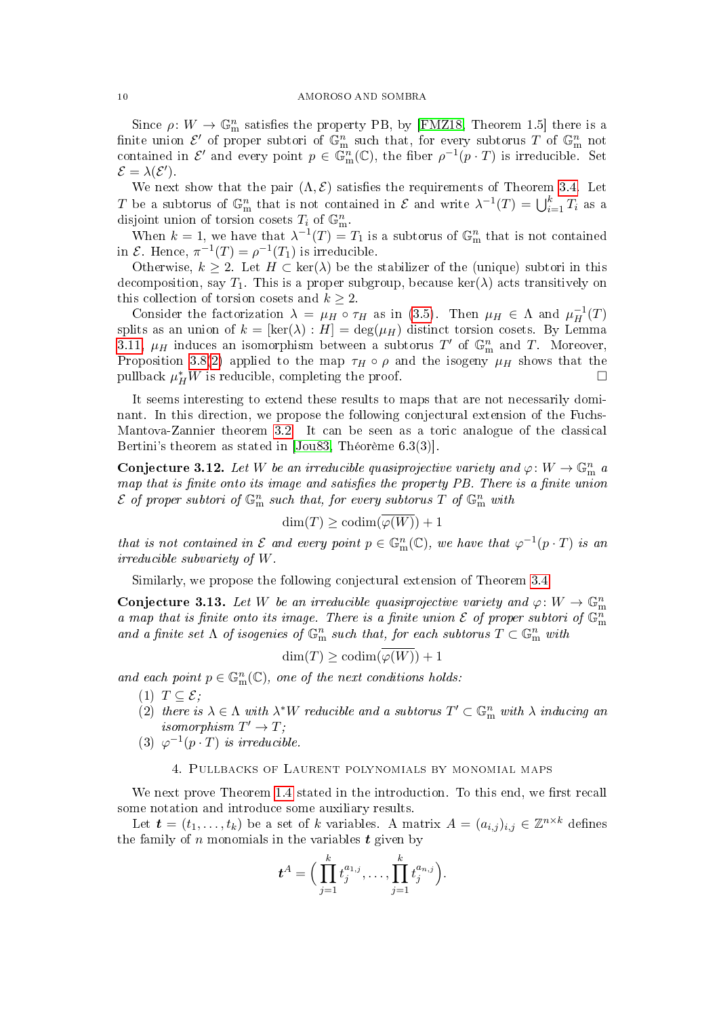Since  $\rho: W \to \mathbb{G}_{\text{m}}^n$  satisfies the property PB, by [\[FMZ18,](#page-15-6) Theorem 1.5] there is a finite union  $\mathcal{E}'$  of proper subtori of  $\mathbb{G}_{\text{m}}^n$  such that, for every subtorus T of  $\mathbb{G}_{\text{m}}^n$  not contained in  $\mathcal{E}'$  and every point  $p \in \mathbb{G}_{m}^{n}(\mathbb{C})$ , the fiber  $\rho^{-1}(p \cdot T)$  is irreducible. Set  $\mathcal{E} = \lambda(\mathcal{E}').$ 

We next show that the pair  $(\Lambda, \mathcal{E})$  satisfies the requirements of Theorem [3.4.](#page-5-0) Let T be a subtorus of  $\mathbb{G}_{\text{m}}^n$  that is not contained in  $\mathcal E$  and write  $\lambda^{-1}(T) = \bigcup_{i=1}^k T_i$  as a disjoint union of torsion cosets  $T_i$  of  $\mathbb{G}_{\text{m}}^n$ .

When  $k = 1$ , we have that  $\lambda^{-1}(T) = T_1$  is a subtorus of  $\mathbb{G}_m^n$  that is not contained in  $\mathcal{E}$ . Hence,  $\pi^{-1}(T) = \rho^{-1}(T_1)$  is irreducible.

Otherwise,  $k \geq 2$ . Let  $H \subset \text{ker}(\lambda)$  be the stabilizer of the (unique) subtori in this decomposition, say  $T_1$ . This is a proper subgroup, because ker( $\lambda$ ) acts transitively on this collection of torsion cosets and  $k \geq 2$ .

Consider the factorization  $\lambda = \mu_H \circ \tau_H$  as in [\(3.5\)](#page-8-1). Then  $\mu_H \in \Lambda$  and  $\mu_H^{-1}(T)$ splits as an union of  $k = [\ker(\lambda) : H] = \deg(\mu_H)$  distinct torsion cosets. By Lemma [3.11,](#page-8-2)  $\mu$ <sub>H</sub> induces an isomorphism between a subtorus T' of  $\mathbb{G}_{\text{m}}^n$  and T. Moreover, Proposition [3.8\(](#page-7-0)[2\)](#page-7-1) applied to the map  $\tau_H \circ \rho$  and the isogeny  $\mu_H$  shows that the pullback  $\mu_H^* W$  is reducible, completing the proof.

It seems interesting to extend these results to maps that are not necessarily dominant. In this direction, we propose the following conjectural extension of the Fuchs-Mantova-Zannier theorem [3.2.](#page-5-1) It can be seen as a toric analogue of the classical Bertini's theorem as stated in [\[Jou83,](#page-15-10) Théorème 6.3(3)].

Conjecture 3.12. Let W be an irreducible quasiprojective variety and  $\varphi: W \to \mathbb{G}_{\text{m}}^n$  a map that is finite onto its image and satisfies the property PB. There is a finite union  $\mathcal E$  of proper subtori of  $\mathbb G_{\rm m}^n$  such that, for every subtorus  $T$  of  $\mathbb G_{\rm m}^n$  with

$$
\dim(T) \ge \operatorname{codim}(\varphi(W)) + 1
$$

that is not contained in  $\mathcal E$  and every point  $p \in \mathbb G_m^n(\mathbb C)$ , we have that  $\varphi^{-1}(p \cdot T)$  is an irreducible subvariety of W.

Similarly, we propose the following conjectural extension of Theorem [3.4.](#page-5-0)

<span id="page-9-0"></span>Conjecture 3.13. Let W be an irreducible quasiprojective variety and  $\varphi: W \to \mathbb{G}_{m}^{n}$ a map that is finite onto its image. There is a finite union  $\mathcal E$  of proper subtori of  $\mathbb G_{\rm m}^n$ and a finite set  $\Lambda$  of isogenies of  $\mathbb{G}_{\mathrm{m}}^n$  such that, for each subtorus  $T\subset \mathbb{G}_{\mathrm{m}}^n$  with

$$
\dim(T) \ge \operatorname{codim}(\overline{\varphi(W)}) + 1
$$

and each point  $p \in \mathbb{G}_{m}^{n}(\mathbb{C})$ , one of the next conditions holds:

- (1)  $T \subseteq \mathcal{E}$ ;
- <span id="page-9-2"></span>(2) there is  $\lambda \in \Lambda$  with  $\lambda^*W$  reducible and a subtorus  $T' \subset \mathbb{G}_{\mathrm{m}}^n$  with  $\lambda$  inducing an isomorphism  $T' \to T$ ;
- (3)  $\varphi^{-1}(p \cdot T)$  is irreducible.

### 4. Pullbacks of Laurent polynomials by monomial maps

<span id="page-9-1"></span>We next prove Theorem [1.4](#page-2-0) stated in the introduction. To this end, we first recall some notation and introduce some auxiliary results.

Let  $\boldsymbol{t} = (t_1, \ldots, t_k)$  be a set of k variables. A matrix  $A = (a_{i,j})_{i,j} \in \mathbb{Z}^{n \times k}$  defines the family of n monomials in the variables  $t$  given by

$$
\boldsymbol{t}^A = \Big( \prod_{j=1}^k t_j^{a_{1,j}}, \ldots, \prod_{j=1}^k t_j^{a_{n,j}} \Big).
$$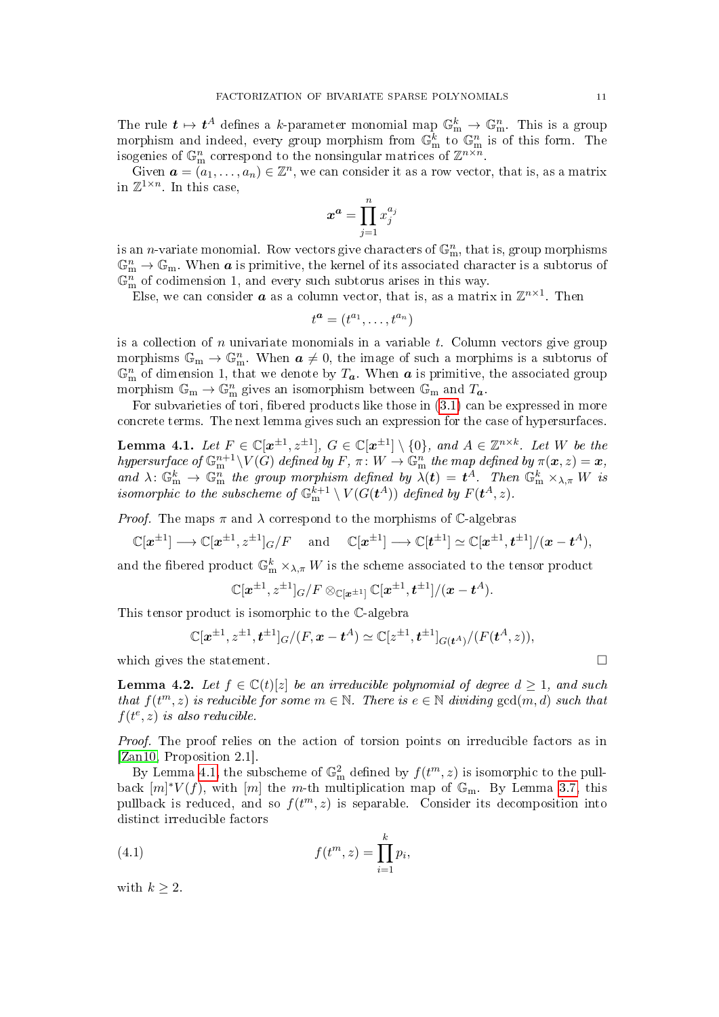The rule  $t\mapsto t^A$  defines a  $k$ -parameter monomial map  $\mathbb{G}_{\rm{m}}^k\to\mathbb{G}_{\rm{m}}^n$ . This is a group morphism and indeed, every group morphism from  $\mathbb{G}_{\text{m}}^{k}$  to  $\mathbb{G}_{\text{m}}^{n}$  is of this form. The isogenies of  $\mathbb{G}_{\text{m}}^n$  correspond to the nonsingular matrices of  $\mathbb{Z}^{n \times n}$ .

Given  $\mathbf{a} = (a_1, \ldots, a_n) \in \mathbb{Z}^n$ , we can consider it as a row vector, that is, as a matrix in  $\mathbb{Z}^{1 \times n}$ . In this case,

$$
x^a = \prod_{j=1}^n x_j^{a_j}
$$

is an *n*-variate monomial. Row vectors give characters of  $\mathbb{G}_{\text{m}}^n$ , that is, group morphisms  $\mathbb{G}_{\text{m}}^n \to \mathbb{G}_{\text{m}}$ . When **a** is primitive, the kernel of its associated character is a subtorus of  $\mathbb{G}_{\text{m}}^{n}$  of codimension 1, and every such subtorus arises in this way.

Else, we can consider  $\boldsymbol{a}$  as a column vector, that is, as a matrix in  $\mathbb{Z}^{n\times 1}$ . Then

$$
t^a = (t^{a_1}, \dots, t^{a_n})
$$

is a collection of n univariate monomials in a variable  $t$ . Column vectors give group morphisms  $\mathbb{G}_{m} \to \mathbb{G}_{m}^{n}$ . When  $a \neq 0$ , the image of such a morphims is a subtorus of  $\mathbb{G}_{\text{m}}^n$  of dimension 1, that we denote by  $T_a$ . When  $a$  is primitive, the associated group morphism  $\mathbb{G}_{m} \to \mathbb{G}_{m}^{n}$  gives an isomorphism between  $\mathbb{G}_{m}$  and  $T_a$ .

For subvarieties of tori, fibered products like those in  $(3.1)$  can be expressed in more concrete terms. The next lemma gives such an expression for the case of hypersurfaces.

<span id="page-10-0"></span>**Lemma 4.1.** Let  $F \in \mathbb{C}[\mathbf{x}^{\pm 1}, z^{\pm 1}]$ ,  $G \in \mathbb{C}[\mathbf{x}^{\pm 1}] \setminus \{0\}$ , and  $A \in \mathbb{Z}^{n \times k}$ . Let W be the hypersurface of  $\mathbb{G}_{\mathrm{m}}^{n+1}\backslash V(G)$  defined by  $F, \pi \colon W \to \mathbb{G}_{\mathrm{m}}^n$  the map defined by  $\pi(\bm{x}, z) = \bm{x},$ and  $\lambda: \mathbb{G}_{\text{m}}^k \to \mathbb{G}_{\text{m}}^n$  the group morphism defined by  $\lambda(t) = t^A$ . Then  $\mathbb{G}_{\text{m}}^k \times_{\lambda,\pi} W$  is isomorphic to the subscheme of  $\mathbb{G}_{\mathrm{m}}^{k+1} \setminus V(G(\boldsymbol{t}^A))$  defined by  $F(\boldsymbol{t}^A,z).$ 

*Proof.* The maps  $\pi$  and  $\lambda$  correspond to the morphisms of C-algebras

$$
\mathbb{C}[\boldsymbol{x}^{\pm 1}] \longrightarrow \mathbb{C}[\boldsymbol{x}^{\pm 1}, \boldsymbol{z}^{\pm 1}]_G / F \quad \text{ and } \quad \mathbb{C}[\boldsymbol{x}^{\pm 1}] \longrightarrow \mathbb{C}[\boldsymbol{t}^{\pm 1}] \simeq \mathbb{C}[\boldsymbol{x}^{\pm 1}, \boldsymbol{t}^{\pm 1}] / (\boldsymbol{x} - \boldsymbol{t}^A),
$$

and the fibered product  $\mathbb{G}_{\mathrm{m}}^k\times_{\lambda,\pi}W$  is the scheme associated to the tensor product

$$
\mathbb{C}[\boldsymbol{x}^{\pm 1}, \boldsymbol{z}^{\pm 1}]_{G}/F \otimes_{\mathbb{C}[\boldsymbol{x}^{\pm 1}]} \mathbb{C}[\boldsymbol{x}^{\pm 1}, \boldsymbol{t}^{\pm 1}]/(\boldsymbol{x} - \boldsymbol{t}^A).
$$

This tensor product is isomorphic to the C-algebra

$$
\mathbb{C}[x^{\pm 1}, z^{\pm 1}, t^{\pm 1}]_{G}/(F, x - t^{A}) \simeq \mathbb{C}[z^{\pm 1}, t^{\pm 1}]_{G(t^{A})}/(F(t^{A}, z)),
$$

which gives the statement.  $\Box$ 

<span id="page-10-2"></span>**Lemma 4.2.** Let  $f \in \mathbb{C}(t)[z]$  be an irreducible polynomial of degree  $d \geq 1$ , and such that  $f(t^m, z)$  is reducible for some  $m \in \mathbb{N}$ . There is  $e \in \mathbb{N}$  dividing  $gcd(m, d)$  such that  $f(t^e, z)$  is also reducible.

Proof. The proof relies on the action of torsion points on irreducible factors as in [\[Zan10,](#page-16-1) Proposition 2.1].

By Lemma [4.1,](#page-10-0) the subscheme of  $\mathbb{G}_{\text{m}}^2$  defined by  $f(t^m, z)$  is isomorphic to the pullback  $[m]^*V(f)$ , with  $[m]$  the m-th multiplication map of  $\mathbb{G}_m$ . By Lemma [3.7,](#page-6-3) this pullback is reduced, and so  $f(t^m, z)$  is separable. Consider its decomposition into distinct irreducible factors

<span id="page-10-1"></span>(4.1) 
$$
f(t^{m}, z) = \prod_{i=1}^{k} p_{i},
$$

with  $k \geq 2$ .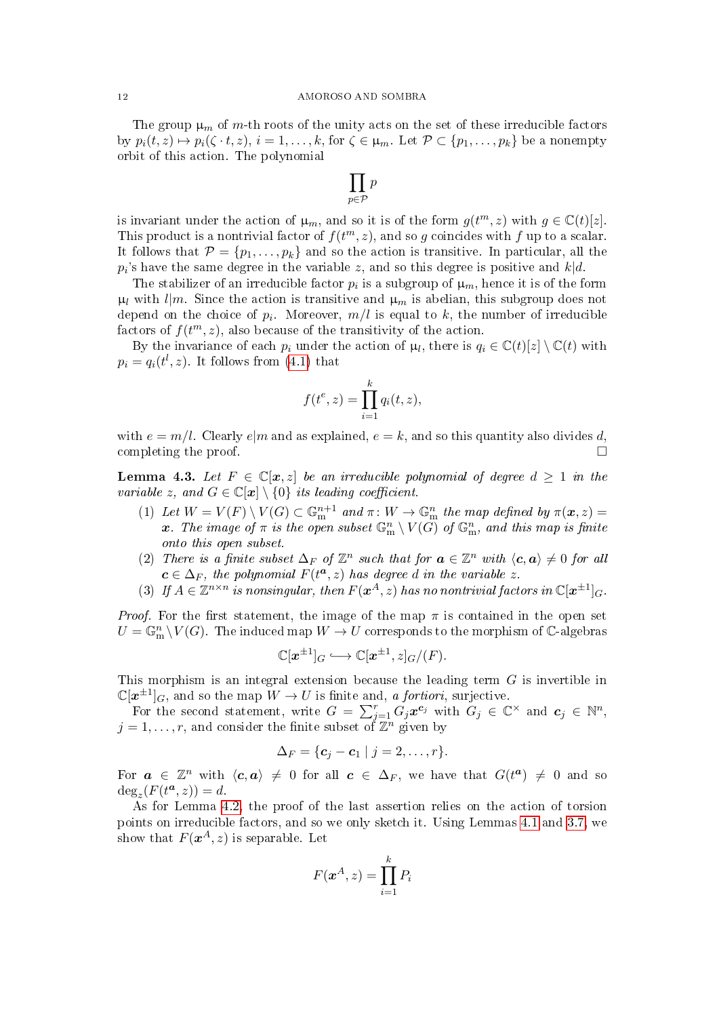### 12 AMOROSO AND SOMBRA

The group  $\mu_m$  of m-th roots of the unity acts on the set of these irreducible factors by  $p_i(t, z) \mapsto p_i(\zeta \cdot t, z), i = 1, \ldots, k$ , for  $\zeta \in \mu_m$ . Let  $\mathcal{P} \subset \{p_1, \ldots, p_k\}$  be a nonempty orbit of this action. The polynomial

$$
\prod_{p\in\mathcal{P}}p
$$

is invariant under the action of  $\mu_m$ , and so it is of the form  $g(t^m, z)$  with  $g \in \mathbb{C}(t)[z]$ . This product is a nontrivial factor of  $f(t^m, z)$ , and so g coincides with f up to a scalar. It follows that  $\mathcal{P} = \{p_1, \ldots, p_k\}$  and so the action is transitive. In particular, all the  $p_i$ 's have the same degree in the variable  $z$ , and so this degree is positive and  $k|d$ .

The stabilizer of an irreducible factor  $p_i$  is a subgroup of  $\mu_m$ , hence it is of the form  $\mu_l$  with  $l|m$ . Since the action is transitive and  $\mu_m$  is abelian, this subgroup does not depend on the choice of  $p_i$ . Moreover,  $m/l$  is equal to  $k$ , the number of irreducible factors of  $f(t^m, z)$ , also because of the transitivity of the action.

By the invariance of each  $p_i$  under the action of  $\mu_l$ , there is  $q_i \in \mathbb{C}(t)[z] \setminus \mathbb{C}(t)$  with  $p_i = q_i(t^l, z)$ . It follows from  $(4.1)$  that

$$
f(t^e, z) = \prod_{i=1}^k q_i(t, z),
$$

with  $e = m/l$ . Clearly  $e/m$  and as explained,  $e = k$ , and so this quantity also divides d, completing the proof.  $\Box$ 

<span id="page-11-0"></span>**Lemma 4.3.** Let  $F \in \mathbb{C}[\mathbf{x}, z]$  be an irreducible polynomial of degree  $d \geq 1$  in the variable z, and  $G \in \mathbb{C}[x] \setminus \{0\}$  its leading coefficient.

- <span id="page-11-1"></span>(1) Let  $W = V(F) \setminus V(G) \subset \mathbb{G}_{m}^{n+1}$  and  $\pi \colon W \to \mathbb{G}_{m}^{n}$  the map defined by  $\pi(\boldsymbol{x}, z) =$ x. The image of  $\pi$  is the open subset  $\mathbb{G}_{\mathrm{m}}^n \setminus V(\overset{\sim}{G})$  of  $\mathbb{G}_{\mathrm{m}}^n$ , and this map is finite onto this open subset.
- <span id="page-11-2"></span>(2) There is a finite subset  $\Delta_F$  of  $\mathbb{Z}^n$  such that for  $\boldsymbol{a} \in \mathbb{Z}^n$  with  $\langle \boldsymbol{c}, \boldsymbol{a} \rangle \neq 0$  for all  $c \in \Delta_F$ , the polynomial  $F(t^a, z)$  has degree d in the variable z.
- <span id="page-11-3"></span>(3) If  $A \in \mathbb{Z}^{n \times n}$  is nonsingular, then  $F(\boldsymbol{x}^A, z)$  has no nontrivial factors in  $\mathbb{C}[\boldsymbol{x}^{\pm 1}]_G$ .

*Proof.* For the first statement, the image of the map  $\pi$  is contained in the open set  $U = \mathbb{G}_{\rm m}^n \setminus V(G)$ . The induced map  $W \to U$  corresponds to the morphism of  $\mathbb{C}\text{-algebras}$ 

$$
\mathbb{C}[\boldsymbol{x}^{\pm 1}]_G \hookrightarrow \mathbb{C}[\boldsymbol{x}^{\pm 1},z]_G/(F).
$$

This morphism is an integral extension because the leading term G is invertible in  $\mathbb{C}[\boldsymbol{x}^{\pm 1}]_G$ , and so the map  $\tilde{W} \to U$  is finite and, a fortiori, surjective.

For the second statement, write  $G = \sum_{j=1}^r G_j \boldsymbol{x}^{\boldsymbol{c}_j}$  with  $G_j \in \mathbb{C}^\times$  and  $\boldsymbol{c}_j \in \mathbb{N}^n$ ,  $j = 1, \ldots, r$ , and consider the finite subset of  $\overline{\mathbb{Z}}^n$  given by

$$
\Delta_F = \{ \mathbf{c}_j - \mathbf{c}_1 \mid j = 2, \ldots, r \}.
$$

For  $a \in \mathbb{Z}^n$  with  $\langle c, a \rangle \neq 0$  for all  $c \in \Delta_F$ , we have that  $G(t^a) \neq 0$  and so  $\deg_z(F(t^a, z)) = d.$ 

As for Lemma [4.2,](#page-10-2) the proof of the last assertion relies on the action of torsion points on irreducible factors, and so we only sketch it. Using Lemmas [4.1](#page-10-0) and [3.7,](#page-6-3) we show that  $F(\boldsymbol{x}^A, z)$  is separable. Let

$$
F(\boldsymbol{x}^A, z) = \prod_{i=1}^k P_i
$$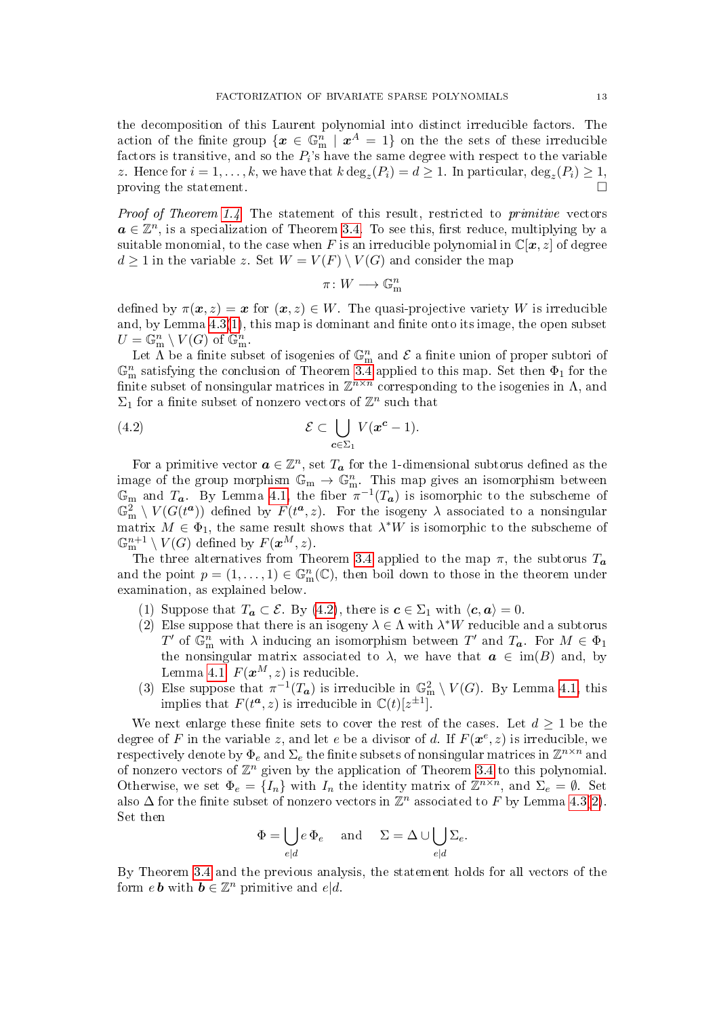the decomposition of this Laurent polynomial into distinct irreducible factors. The action of the finite group  $\{\boldsymbol{x} \in \mathbb{G}_{\rm{m}}^n \,\,\vert\,\, \boldsymbol{x}^A = 1\}$  on the the sets of these irreducible factors is transitive, and so the  $P_i$ 's have the same degree with respect to the variable z. Hence for  $i = 1, ..., k$ , we have that  $k \deg_z(P_i) = d \ge 1$ . In particular,  $\deg_z(P_i) \ge 1$ , proving the statement.  $\square$ 

Proof of Theorem [1.4.](#page-2-0) The statement of this result, restricted to primitive vectors  $a \in \mathbb{Z}^n$ , is a specialization of Theorem [3.4.](#page-5-0) To see this, first reduce, multiplying by a suitable monomial, to the case when F is an irreducible polynomial in  $\mathbb{C}[\mathbf{x}, z]$  of degree  $d \geq 1$  in the variable z. Set  $W = V(F) \setminus V(G)$  and consider the map

<span id="page-12-0"></span>
$$
\pi\colon W\longrightarrow \mathbb{G}_{\mathrm{m}}^n
$$

defined by  $\pi(x, z) = x$  for  $(x, z) \in W$ . The quasi-projective variety W is irreducible and, by Lemma  $4.3(1)$  $4.3(1)$ , this map is dominant and finite onto its image, the open subset  $U = \mathbb{G}_{\mathbf{m}}^n \setminus V(G)$  of  $\mathbb{G}_{\mathbf{m}}^n$ .

Let  $\Lambda$  be a finite subset of isogenies of  $\mathbb{G}_{m}^{n}$  and  $\mathcal E$  a finite union of proper subtori of  $\mathbb{G}_{\text{m}}^{n}$  satisfying the conclusion of Theorem [3.4](#page-5-0) applied to this map. Set then  $\Phi_{1}$  for the finite subset of nonsingular matrices in  $\mathbb{Z}^{n \times n}$  corresponding to the isogenies in  $\Lambda$ , and  $\Sigma_1$  for a finite subset of nonzero vectors of  $\mathbb{Z}^n$  such that

(4.2) 
$$
\mathcal{E} \subset \bigcup_{\mathbf{c} \in \Sigma_1} V(\mathbf{x}^{\mathbf{c}} - 1).
$$

For a primitive vector  $\boldsymbol{a} \in \mathbb{Z}^n$ , set  $T_{\boldsymbol{a}}$  for the 1-dimensional subtorus defined as the image of the group morphism  $\mathbb{G}_{m} \to \mathbb{G}_{m}^{n}$ . This map gives an isomorphism between  $\mathbb{G}_{\text{m}}$  and  $T_a$ . By Lemma [4.1,](#page-10-0) the fiber  $\pi^{-1}(T_a)$  is isomorphic to the subscheme of  $\mathbb{G}_{\text{m}}^2 \setminus V(G(t^a))$  defined by  $F(t^a, z)$ . For the isogeny  $\lambda$  associated to a nonsingular matrix  $M \in \Phi_1$ , the same result shows that  $\lambda^*W$  is isomorphic to the subscheme of  $\mathbb{G}_{\mathrm{m}}^{n+1}\setminus V(G)$  defined by  $F(\boldsymbol{x}^{M},z)$ .

The three alternatives from Theorem [3.4](#page-5-0) applied to the map  $\pi$ , the subtorus  $T_a$ and the point  $p = (1, \ldots, 1) \in \mathbb{G}_{m}^{n}(\mathbb{C})$ , then boil down to those in the theorem under examination, as explained below.

- (1) Suppose that  $T_a \subset \mathcal{E}$ . By [\(4.2\)](#page-12-0), there is  $c \in \Sigma_1$  with  $\langle c, a \rangle = 0$ .
- (2) Else suppose that there is an isogeny  $\lambda \in \Lambda$  with  $\lambda^*W$  reducible and a subtorus  $T'$  of  $\mathbb{G}_{\text{m}}^n$  with  $\lambda$  inducing an isomorphism between  $T'$  and  $T_a$ . For  $M \in \Phi_1$ the nonsingular matrix associated to  $\lambda$ , we have that  $a \in \text{im}(B)$  and, by Lemma [4.1,](#page-10-0)  $F(\boldsymbol{x}^{M}, z)$  is reducible.
- (3) Else suppose that  $\pi^{-1}(T_a)$  is irreducible in  $\mathbb{G}_{\mathbf{m}}^2 \setminus V(G)$ . By Lemma [4.1,](#page-10-0) this implies that  $F(t^a, z)$  is irreducible in  $\mathbb{C}(t)[z^{\pm 1}]$ .

We next enlarge these finite sets to cover the rest of the cases. Let  $d \geq 1$  be the degree of F in the variable z, and let e be a divisor of d. If  $F(\boldsymbol{x}^e, z)$  is irreducible, we respectively denote by  $\Phi_e$  and  $\Sigma_e$  the finite subsets of nonsingular matrices in  $\mathbb{Z}^{n\times n}$  and of nonzero vectors of  $\mathbb{Z}^n$  given by the application of Theorem [3.4](#page-5-0) to this polynomial. Otherwise, we set  $\Phi_e = \{I_n\}$  with  $I_n$  the identity matrix of  $\mathbb{Z}^{n \times n}$ , and  $\Sigma_e = \emptyset$ . Set also  $\Delta$  for the finite subset of nonzero vectors in  $\mathbb{Z}^n$  associated to F by Lemma [4.3](#page-11-0)[\(2\)](#page-11-2). Set then

$$
\Phi = \bigcup_{e \mid d} e \, \Phi_e \quad \text{ and } \quad \Sigma = \Delta \cup \bigcup_{e \mid d} \Sigma_e.
$$

By Theorem [3.4](#page-5-0) and the previous analysis, the statement holds for all vectors of the form  $e\,\boldsymbol{b}$  with  $\boldsymbol{b} \in \mathbb{Z}^n$  primitive and  $e|d$ .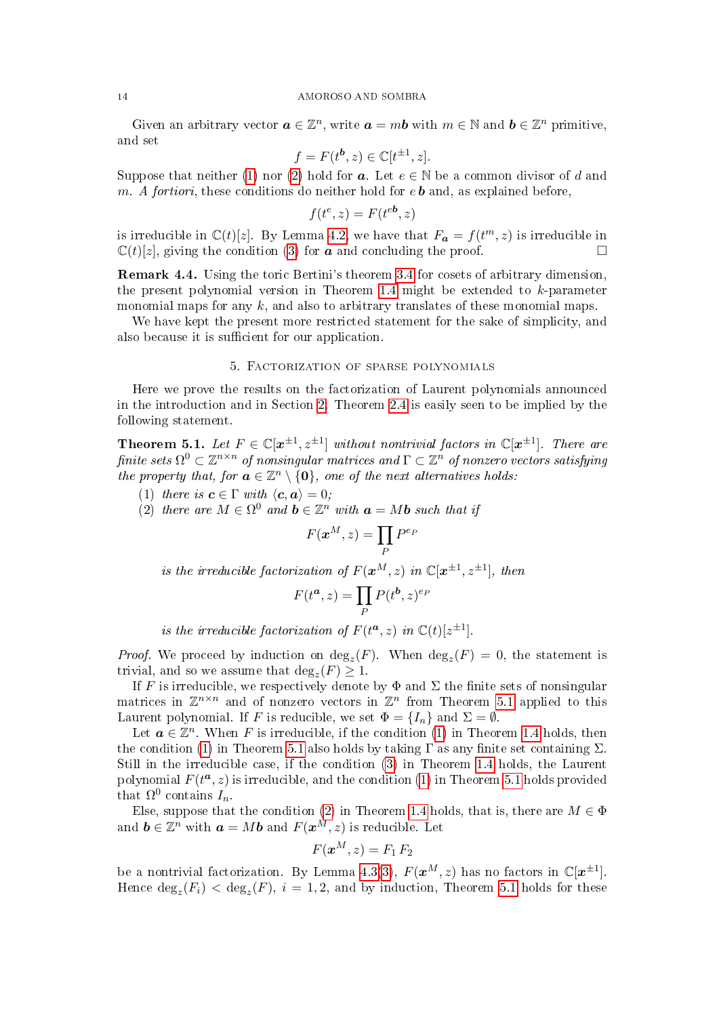Given an arbitrary vector  $\boldsymbol{a} \in \mathbb{Z}^n$ , write  $\boldsymbol{a} = m\boldsymbol{b}$  with  $m \in \mathbb{N}$  and  $\boldsymbol{b} \in \mathbb{Z}^n$  primitive, and set

$$
f = F(t^b, z) \in \mathbb{C}[t^{\pm 1}, z].
$$

Suppose that neither [\(1\)](#page-2-2) nor [\(2\)](#page-2-3) hold for **a**. Let  $e \in \mathbb{N}$  be a common divisor of d and m. A fortiori, these conditions do neither hold for  $e\mathbf{b}$  and, as explained before,

$$
f(t^e, z) = F(t^{eb}, z)
$$

is irreducible in  $\mathbb{C}(t)[z]$ . By Lemma [4.2,](#page-10-2) we have that  $F_a = f(t^m, z)$  is irreducible in  $\mathbb{C}(t)[z]$ , giving the condition [\(3\)](#page-2-4) for **a** and concluding the proof.

Remark 4.4. Using the toric Bertini's theorem [3.4](#page-5-0) for cosets of arbitrary dimension, the present polynomial version in Theorem [1.4](#page-2-0) might be extended to  $k$ -parameter monomial maps for any  $k$ , and also to arbitrary translates of these monomial maps.

We have kept the present more restricted statement for the sake of simplicity, and also because it is sufficient for our application.

# 5. Factorization of sparse polynomials

<span id="page-13-1"></span>Here we prove the results on the factorization of Laurent polynomials announced in the introduction and in Section [2.](#page-3-1) Theorem [2.4](#page-3-2) is easily seen to be implied by the following statement.

<span id="page-13-0"></span>**Theorem 5.1.** Let  $F \in \mathbb{C}[x^{\pm 1}, z^{\pm 1}]$  without nontrivial factors in  $\mathbb{C}[x^{\pm 1}]$ . There are finite sets  $\Omega^0 \subset \mathbb{Z}^{n \times n}$  of nonsingular matrices and  $\Gamma \subset \mathbb{Z}^n$  of nonzero vectors satisfying the property that, for  $a \in \mathbb{Z}^n \setminus \{0\}$ , one of the next alternatives holds:

<span id="page-13-2"></span>(1) there is  $\boldsymbol{c} \in \Gamma$  with  $\langle \boldsymbol{c}, \boldsymbol{a} \rangle = 0$ ;

<span id="page-13-3"></span>(2) there are  $M \in \Omega^0$  and  $\mathbf{b} \in \mathbb{Z}^n$  with  $\mathbf{a} = M\mathbf{b}$  such that if

$$
F(\boldsymbol{x}^M, z) = \prod_P P^{e_P}
$$

is the irreducible factorization of  $F(\boldsymbol{x}^{M},z)$  in  $\mathbb{C}[\boldsymbol{x}^{\pm 1},z^{\pm 1}]$ , then

$$
F(t^a, z) = \prod_P P(t^b, z)^{e_F}
$$

is the irreducible factorization of  $F(t^a, z)$  in  $\mathbb{C}(t)[z^{\pm 1}]$ .

*Proof.* We proceed by induction on  $deg_z(F)$ . When  $deg_z(F) = 0$ , the statement is trivial, and so we assume that  $\deg_z(F) \geq 1$ .

If F is irreducible, we respectively denote by  $\Phi$  and  $\Sigma$  the finite sets of nonsingular matrices in  $\mathbb{Z}^{n\times n}$  and of nonzero vectors in  $\mathbb{Z}^n$  from Theorem [5.1](#page-13-0) applied to this Laurent polynomial. If F is reducible, we set  $\Phi = \{I_n\}$  and  $\Sigma = \emptyset$ .

Let  $a \in \mathbb{Z}^n$ . When F is irreducible, if the condition [\(1\)](#page-2-2) in Theorem [1.4](#page-2-0) holds, then the condition [\(1\)](#page-13-2) in Theorem [5.1](#page-13-0) also holds by taking  $\Gamma$  as any finite set containing  $\Sigma$ . Still in the irreducible case, if the condition [\(3\)](#page-2-4) in Theorem [1.4](#page-2-0) holds, the Laurent polynomial  $F(t^a, z)$  is irreducible, and the condition [\(1\)](#page-13-2) in Theorem [5.1](#page-13-0) holds provided that  $\Omega^0$  contains  $I_n$ .

Else, suppose that the condition [\(2\)](#page-2-3) in Theorem [1.4](#page-2-0) holds, that is, there are  $M \in \Phi$ and  $\boldsymbol{b} \in \mathbb{Z}^n$  with  $\boldsymbol{a} = M \boldsymbol{b}$  and  $F(\boldsymbol{x}^M, z)$  is reducible. Let

$$
F(\boldsymbol{x}^{M},z)=F_{1}\,F_{2}
$$

be a nontrivial factorization. By Lemma [4.3\(](#page-11-0)[3\)](#page-11-3),  $F(\boldsymbol{x}^{M}, z)$  has no factors in  $\mathbb{C}[\boldsymbol{x}^{\pm 1}]$ . Hence  $\deg_z(F_i) < \deg_z(F)$ ,  $i = 1, 2$ , and by induction, Theorem [5.1](#page-13-0) holds for these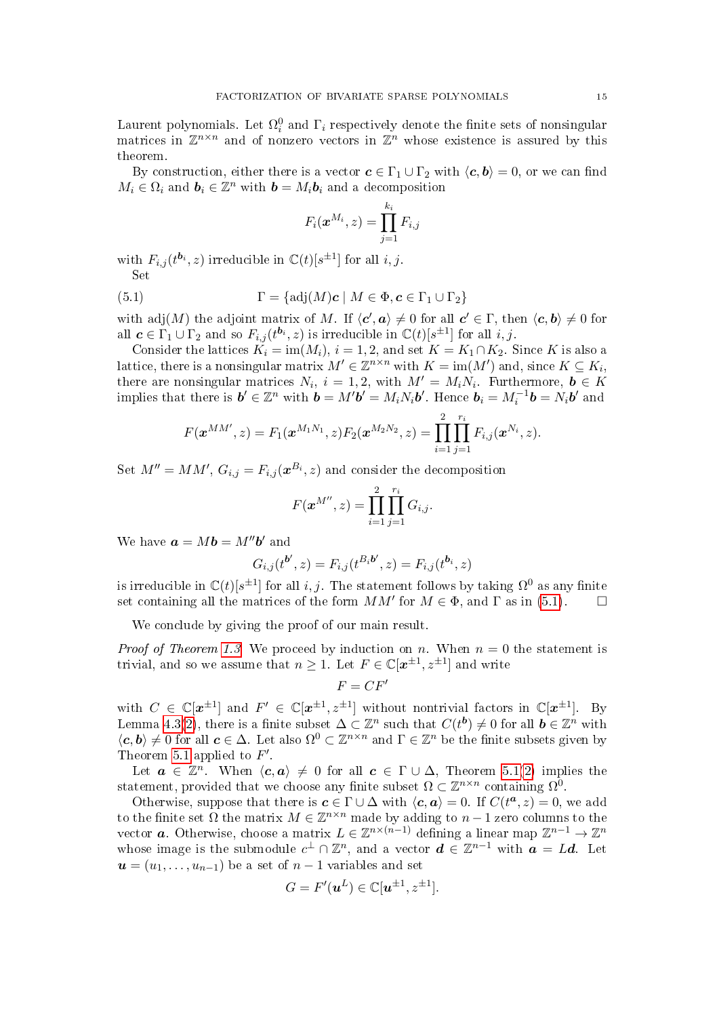Laurent polynomials. Let  $\Omega_i^0$  and  $\Gamma_i$  respectively denote the finite sets of nonsingular matrices in  $\mathbb{Z}^{n\times n}$  and of nonzero vectors in  $\mathbb{Z}^n$  whose existence is assured by this theorem.

By construction, either there is a vector  $c \in \Gamma_1 \cup \Gamma_2$  with  $\langle c, b \rangle = 0$ , or we can find  $M_i \in \Omega_i$  and  $\mathbf{b}_i \in \mathbb{Z}^n$  with  $\mathbf{b} = M_i \mathbf{b}_i$  and a decomposition

<span id="page-14-0"></span>
$$
F_i(\boldsymbol{x}^{M_i},z)=\prod_{j=1}^{k_i}F_{i,j}
$$

with  $F_{i,j}(t^{\mathbf{b}_{i}},z)$  irreducible in  $\mathbb{C}(t)[s^{\pm 1}]$  for all  $i, j$ . Set

(5.1) 
$$
\Gamma = \{ \text{adj}(M) \mathbf{c} \mid M \in \Phi, \mathbf{c} \in \Gamma_1 \cup \Gamma_2 \}
$$

with adj $(M)$  the adjoint matrix of M. If  $\langle c', a \rangle \neq 0$  for all  $c' \in \Gamma$ , then  $\langle c, b \rangle \neq 0$  for all  $c \in \Gamma_1 \cup \Gamma_2$  and so  $F_{i,j}(t^{b_i}, z)$  is irreducible in  $\mathbb{C}(t)[s^{\pm 1}]$  for all  $i, j$ .

Consider the lattices  $K_i = \text{im}(M_i)$ ,  $i = 1, 2$ , and set  $K = K_1 \cap K_2$ . Since K is also a lattice, there is a nonsingular matrix  $M'\in\mathbb{Z}^{n\times n}$  with  $K=\mathrm{im}(M')$  and, since  $K\subseteq K_i,$ there are nonsingular matrices  $N_i$ ,  $i = 1, 2$ , with  $M' = M_i N_i$ . Furthermore,  $\mathbf{b} \in K$ implies that there is  $\mathbf{b}' \in \mathbb{Z}^n$  with  $\mathbf{b} = M' \mathbf{b}' = M_i N_i \mathbf{b}'$ . Hence  $\mathbf{b}_i = M_i^{-1} \mathbf{b} = N_i \mathbf{b}'$  and

$$
F(\boldsymbol{x}^{MM'},z)=F_1(\boldsymbol{x}^{M_1N_1},z)F_2(\boldsymbol{x}^{M_2N_2},z)=\prod_{i=1}^2\prod_{j=1}^{r_i}F_{i,j}(\boldsymbol{x}^{N_i},z).
$$

Set  $M'' = MM'$ ,  $G_{i,j} = F_{i,j}(\boldsymbol{x}^{B_i}, z)$  and consider the decomposition

$$
F(\boldsymbol{x}^{M''},z)=\prod_{i=1}^2\prod_{j=1}^{r_i}G_{i,j}.
$$

We have  $\mathbf{a} = M\mathbf{b} = M''\mathbf{b}'$  and

$$
G_{i,j}(t^{\mathbf{b}'},z) = F_{i,j}(t^{B_i \mathbf{b}'},z) = F_{i,j}(t^{\mathbf{b}_i},z)
$$

is irreducible in  $\mathbb{C}(t)[s^{\pm 1}]$  for all  $i, j$ . The statement follows by taking  $\Omega^0$  as any finite set containing all the matrices of the form  $MM'$  for  $M \in \Phi$ , and  $\Gamma$  as in [\(5.1\)](#page-14-0).

We conclude by giving the proof of our main result.

*Proof of Theorem [1.3.](#page-1-0)* We proceed by induction on n. When  $n = 0$  the statement is trivial, and so we assume that  $n \geq 1$ . Let  $F \in \mathbb{C}[\mathbf{x}^{\pm 1}, \mathbf{z}^{\pm 1}]$  and write

$$
F=CF'
$$

with  $C \in \mathbb{C}[\mathbf{x}^{\pm 1}]$  and  $F' \in \mathbb{C}[\mathbf{x}^{\pm 1}, \mathbf{z}^{\pm 1}]$  without nontrivial factors in  $\mathbb{C}[\mathbf{x}^{\pm 1}]$ . By Lemma [4.3](#page-11-0)[\(2\)](#page-11-2), there is a finite subset  $\Delta \subset \mathbb{Z}^n$  such that  $C(t^b) \neq 0$  for all  $b \in \mathbb{Z}^n$  with  $\langle c, b \rangle \neq 0$  for all  $c \in \Delta$ . Let also  $\Omega^0 \subset \mathbb{Z}^{n \times n}$  and  $\Gamma \in \mathbb{Z}^n$  be the finite subsets given by Theorem [5.1](#page-13-0) applied to  $F'$ .

Let  $a \in \mathbb{Z}^n$ . When  $\langle c, a \rangle \neq 0$  for all  $c \in \Gamma \cup \Delta$ , Theorem [5.1\(](#page-13-0)[2\)](#page-13-3) implies the statement, provided that we choose any finite subset  $\Omega \subset \mathbb{Z}^{n \times n}$  containing  $\Omega^{\overline{0}}$ .

Otherwise, suppose that there is  $c \in \Gamma \cup \Delta$  with  $\langle c, a \rangle = 0$ . If  $C(t^a, z) = 0$ , we add to the finite set  $\overline{\Omega}$  the matrix  $M \in \mathbb{Z}^{n \times n}$  made by adding to  $n-1$  zero columns to the vector **a**. Otherwise, choose a matrix  $L \in \mathbb{Z}^{n \times (n-1)}$  defining a linear map  $\mathbb{Z}^{n-1} \to \mathbb{Z}^n$ whose image is the submodule  $c^{\perp} \cap \mathbb{Z}^n$ , and a vector  $d \in \mathbb{Z}^{n-1}$  with  $\boldsymbol{a} = L\boldsymbol{d}$ . Let  $u = (u_1, \ldots, u_{n-1})$  be a set of  $n-1$  variables and set

$$
G = F'(\boldsymbol{u}^L) \in \mathbb{C}[\boldsymbol{u}^{\pm 1}, z^{\pm 1}].
$$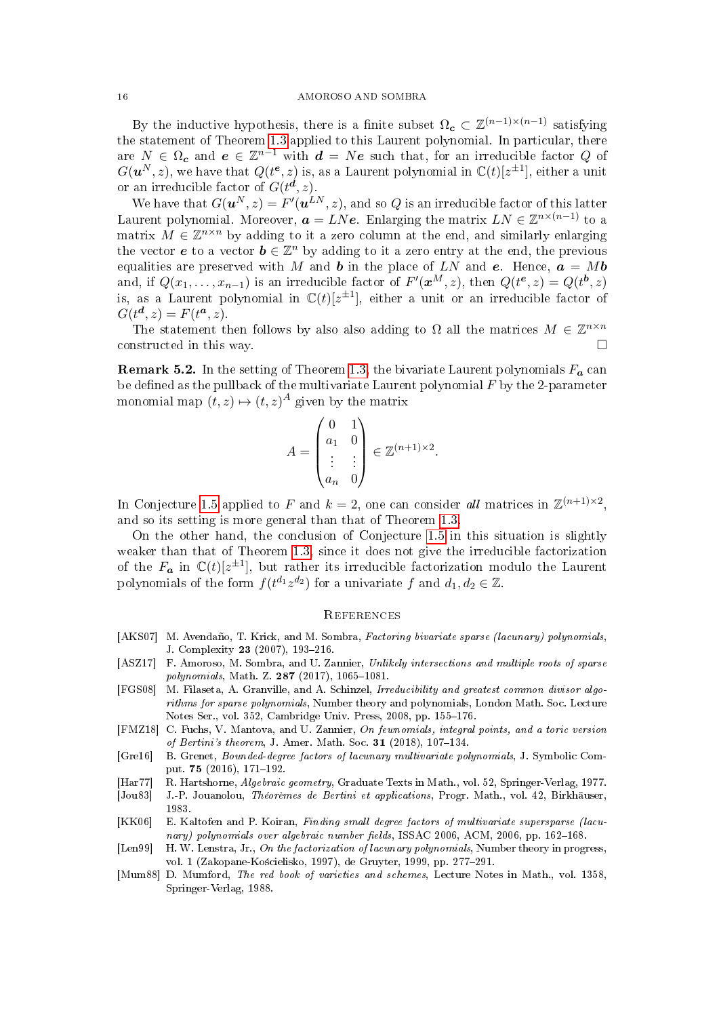By the inductive hypothesis, there is a finite subset  $\Omega_c \subset \mathbb{Z}^{(n-1)\times (n-1)}$  satisfying the statement of Theorem [1.3](#page-1-0) applied to this Laurent polynomial. In particular, there are  $N \in \Omega_c$  and  $e \in \mathbb{Z}^{n-1}$  with  $d = Ne$  such that, for an irreducible factor  $Q$  of  $G(u^N, z)$ , we have that  $Q(t^e, z)$  is, as a Laurent polynomial in  $\mathbb{C}(t)[z^{\pm 1}]$ , either a unit or an irreducible factor of  $G(t^{\mathbf{d}},z)$ .

We have that  $G(\boldsymbol{u}^N, z) = F'(\boldsymbol{u}^{LN}, z)$ , and so  $Q$  is an irreducible factor of this latter Laurent polynomial. Moreover,  $\bm{a}=LN\bm{e}$ . Enlarging the matrix  $LN\in\mathbb{Z}^{n\times(n-1)}$  to a matrix  $M \in \mathbb{Z}^{n \times n}$  by adding to it a zero column at the end, and similarly enlarging the vector **e** to a vector  $\mathbf{b} \in \mathbb{Z}^n$  by adding to it a zero entry at the end, the previous equalities are preserved with M and b in the place of LN and e. Hence,  $a = Mb$ and, if  $Q(x_1, \ldots, x_{n-1})$  is an irreducible factor of  $F'(\boldsymbol{x}^M, z)$ , then  $Q(t^{\boldsymbol{e}}, z) = Q(t^{\boldsymbol{b}}, z)$ is, as a Laurent polynomial in  $\mathbb{C}(t)[z^{\pm 1}]$ , either a unit or an irreducible factor of  $G(t^d, z) = F(t^a, z).$ 

The statement then follows by also also adding to  $\Omega$  all the matrices  $M \in \mathbb{Z}^{n \times n}$ constructed in this way.

<span id="page-15-7"></span>**Remark 5.2.** In the setting of Theorem [1.3,](#page-1-0) the bivariate Laurent polynomials  $F_a$  can be defined as the pullback of the multivariate Laurent polynomial  $F$  by the 2-parameter monomial map  $(t, z) \mapsto (t, z)^A$  given by the matrix

$$
A = \begin{pmatrix} 0 & 1 \\ a_1 & 0 \\ \vdots & \vdots \\ a_n & 0 \end{pmatrix} \in \mathbb{Z}^{(n+1)\times 2}.
$$

In Conjecture [1.5](#page-2-1) applied to F and  $k = 2$ , one can consider all matrices in  $\mathbb{Z}^{(n+1)\times 2}$ , and so its setting is more general than that of Theorem [1.3.](#page-1-0)

On the other hand, the conclusion of Conjecture [1.5](#page-2-1) in this situation is slightly weaker than that of Theorem [1.3,](#page-1-0) since it does not give the irreducible factorization of the  $F_a$  in  $\mathbb{C}(t)[z^{\pm 1}]$ , but rather its irreducible factorization modulo the Laurent polynomials of the form  $f(t^{d_1}z^{d_2})$  for a univariate f and  $d_1, d_2 \in \mathbb{Z}$ .

## **REFERENCES**

- <span id="page-15-2"></span>[AKS07] M. Avendaño, T. Krick, and M. Sombra, Factoring bivariate sparse (lacunary) polynomials, J. Complexity 23 (2007), 193-216.
- <span id="page-15-5"></span>[ASZ17] F. Amoroso, M. Sombra, and U. Zannier, Unlikely intersections and multiple roots of sparse polynomials, Math. Z.  $287$  (2017), 1065-1081.
- <span id="page-15-3"></span>[FGS08] M. Filaseta, A. Granville, and A. Schinzel, Irreducibility and greatest common divisor algorithms for sparse polynomials, Number theory and polynomials, London Math. Soc. Lecture Notes Ser., vol. 352, Cambridge Univ. Press, 2008, pp. 155-176.
- <span id="page-15-6"></span>[FMZ18] C. Fuchs, V. Mantova, and U. Zannier, On fewnomials, integral points, and a toric version of Bertini's theorem, J. Amer. Math. Soc.  $31$  (2018), 107-134.
- <span id="page-15-4"></span>[Gre16] B. Grenet, Bounded-degree factors of lacunary multivariate polynomials, J. Symbolic Comput. 75 (2016), 171-192.
- <span id="page-15-8"></span>[Har77] R. Hartshorne, Algebraic geometry, Graduate Texts in Math., vol. 52, Springer-Verlag, 1977.
- <span id="page-15-10"></span>[Jou83] J.-P. Jouanolou, Théorèmes de Bertini et applications, Progr. Math., vol. 42, Birkhäuser, 1983.
- <span id="page-15-1"></span>[KK06] E. Kaltofen and P. Koiran, Finding small degree factors of multivariate supersparse (lacunary) polynomials over algebraic number fields, ISSAC 2006, ACM, 2006, pp. 162-168.
- <span id="page-15-0"></span>[Len99] H. W. Lenstra, Jr., On the factorization of lacunary polynomials, Number theory in progress, vol. 1 (Zakopane-Kościelisko, 1997), de Gruyter, 1999, pp. 277-291.
- <span id="page-15-9"></span>[Mum88] D. Mumford, The red book of varieties and schemes, Lecture Notes in Math., vol. 1358, Springer-Verlag, 1988.